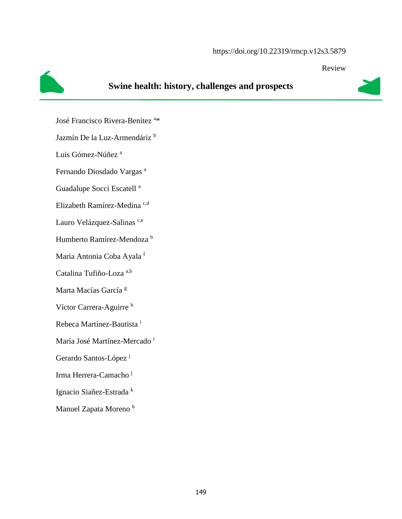#### https://doi.org/10.22319/rmcp.v12s3.5879

Review

# **Swine health: history, challenges and prospects**

José Francisco Rivera-Benítez<sup>a\*</sup>

Jazmín De la Luz-Armendáriz b

Luis Gómez-Núñez<sup>a</sup>

Fernando Diosdado Vargas <sup>a</sup>

Guadalupe Socci Escatell<sup>a</sup>

Elizabeth Ramírez-Medina<sup>c,d</sup>

Lauro Velázquez-Salinas<sup>c,e</sup>

Humberto Ramírez-Mendoza <sup>b</sup>

Maria Antonia Coba Ayala <sup>f</sup>

Catalina Tufiño-Loza a,b

Marta Macías García<sup>g</sup>

Víctor Carrera-Aguirre <sup>h</sup>

Rebeca Martínez-Bautista <sup>i</sup>

María José Martínez-Mercado<sup>i</sup>

Gerardo Santos-López<sup>j</sup>

Irma Herrera-Camacho j

Ignacio Siañez-Estrada k

Manuel Zapata Moreno<sup>b</sup>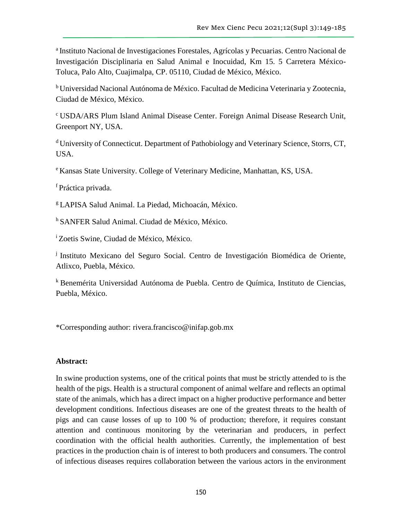<sup>a</sup> Instituto Nacional de Investigaciones Forestales, Agrícolas y Pecuarias. Centro Nacional de Investigación Disciplinaria en Salud Animal e Inocuidad, Km 15. 5 Carretera México-Toluca, Palo Alto, Cuajimalpa, CP. 05110, Ciudad de México, México.

<sup>b</sup> Universidad Nacional Autónoma de México. Facultad de Medicina Veterinaria y Zootecnia, Ciudad de México, México.

<sup>c</sup>USDA/ARS Plum Island Animal Disease Center. Foreign Animal Disease Research Unit, Greenport NY, USA.

<sup>d</sup>University of Connecticut. Department of Pathobiology and Veterinary Science, Storrs, CT, USA.

<sup>e</sup>Kansas State University. College of Veterinary Medicine, Manhattan, KS, USA.

f Práctica privada.

<sup>g</sup>LAPISA Salud Animal. La Piedad, Michoacán, México.

h SANFER Salud Animal. Ciudad de México, México.

<sup>i</sup> Zoetis Swine, Ciudad de México, México.

<sup>j</sup> Instituto Mexicano del Seguro Social. Centro de Investigación Biomédica de Oriente, Atlixco, Puebla, México.

k Benemérita Universidad Autónoma de Puebla. Centro de Química, Instituto de Ciencias, Puebla, México.

\*Corresponding author: [rivera.francisco@inifap.gob.mx](mailto:rivera.francisco@inifap.gob.mx)

#### **Abstract:**

In swine production systems, one of the critical points that must be strictly attended to is the health of the pigs. Health is a structural component of animal welfare and reflects an optimal state of the animals, which has a direct impact on a higher productive performance and better development conditions. Infectious diseases are one of the greatest threats to the health of pigs and can cause losses of up to 100 % of production; therefore, it requires constant attention and continuous monitoring by the veterinarian and producers, in perfect coordination with the official health authorities. Currently, the implementation of best practices in the production chain is of interest to both producers and consumers. The control of infectious diseases requires collaboration between the various actors in the environment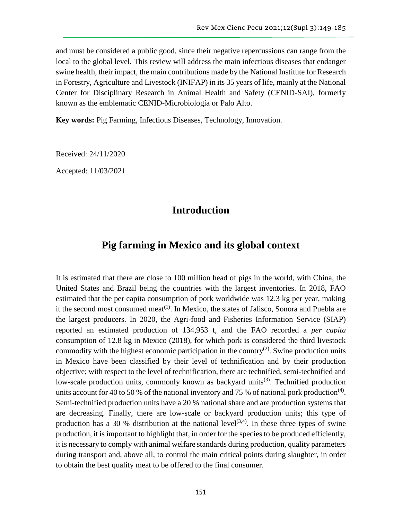and must be considered a public good, since their negative repercussions can range from the local to the global level. This review will address the main infectious diseases that endanger swine health, their impact, the main contributions made by the National Institute for Research in Forestry, Agriculture and Livestock (INIFAP) in its 35 years of life, mainly at the National Center for Disciplinary Research in Animal Health and Safety (CENID-SAI), formerly known as the emblematic CENID-Microbiología or Palo Alto.

**Key words:** Pig Farming, Infectious Diseases, Technology, Innovation.

Received: 24/11/2020

Accepted: 11/03/2021

### **Introduction**

### **Pig farming in Mexico and its global context**

It is estimated that there are close to 100 million head of pigs in the world, with China, the United States and Brazil being the countries with the largest inventories. In 2018, FAO estimated that the per capita consumption of pork worldwide was 12.3 kg per year, making it the second most consumed meat<sup> $(1)$ </sup>. In Mexico, the states of Jalisco, Sonora and Puebla are the largest producers. In 2020, the Agri-food and Fisheries Information Service (SIAP) reported an estimated production of 134,953 t, and the FAO recorded a *per capita* consumption of 12.8 kg in Mexico (2018), for which pork is considered the third livestock commodity with the highest economic participation in the country<sup>(2)</sup>. Swine production units in Mexico have been classified by their level of technification and by their production objective; with respect to the level of technification, there are technified, semi-technified and low-scale production units, commonly known as backyard units<sup>(3)</sup>. Technified production units account for 40 to 50 % of the national inventory and 75 % of national pork production<sup>(4)</sup>. Semi-technified production units have a 20 % national share and are production systems that are decreasing. Finally, there are low-scale or backyard production units; this type of production has a 30 % distribution at the national level<sup>(3,4)</sup>. In these three types of swine production, it is important to highlight that, in order for the species to be produced efficiently, it is necessary to comply with animal welfare standards during production, quality parameters during transport and, above all, to control the main critical points during slaughter, in order to obtain the best quality meat to be offered to the final consumer.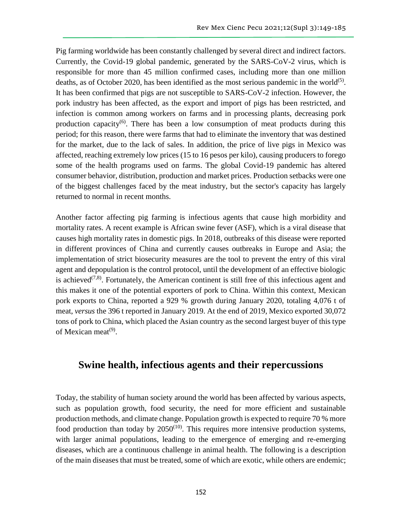Pig farming worldwide has been constantly challenged by several direct and indirect factors. Currently, the Covid-19 global pandemic, generated by the SARS-CoV-2 virus, which is responsible for more than 45 million confirmed cases, including more than one million deaths, as of October 2020, has been identified as the most serious pandemic in the world $(5)$ . It has been confirmed that pigs are not susceptible to SARS-CoV-2 infection. However, the pork industry has been affected, as the export and import of pigs has been restricted, and infection is common among workers on farms and in processing plants, decreasing pork production capacity<sup> $(6)$ </sup>. There has been a low consumption of meat products during this period; for this reason, there were farms that had to eliminate the inventory that was destined for the market, due to the lack of sales. In addition, the price of live pigs in Mexico was affected, reaching extremely low prices (15 to 16 pesos per kilo), causing producers to forego some of the health programs used on farms. The global Covid-19 pandemic has altered consumer behavior, distribution, production and market prices. Production setbacks were one of the biggest challenges faced by the meat industry, but the sector's capacity has largely returned to normal in recent months.

Another factor affecting pig farming is infectious agents that cause high morbidity and mortality rates. A recent example is African swine fever (ASF), which is a viral disease that causes high mortality rates in domestic pigs. In 2018, outbreaks of this disease were reported in different provinces of China and currently causes outbreaks in Europe and Asia; the implementation of strict biosecurity measures are the tool to prevent the entry of this viral agent and depopulation is the control protocol, until the development of an effective biologic is achieved<sup> $(7,8)$ </sup>. Fortunately, the American continent is still free of this infectious agent and this makes it one of the potential exporters of pork to China. Within this context, Mexican pork exports to China, reported a 929 % growth during January 2020, totaling 4,076 t of meat, *versus* the 396 t reported in January 2019. At the end of 2019, Mexico exported 30,072 tons of pork to China, which placed the Asian country as the second largest buyer of this type of Mexican meat<sup>(9)</sup>.

## **Swine health, infectious agents and their repercussions**

Today, the stability of human society around the world has been affected by various aspects, such as population growth, food security, the need for more efficient and sustainable production methods, and climate change. Population growth is expected to require 70 % more food production than today by  $2050^{(10)}$ . This requires more intensive production systems, with larger animal populations, leading to the emergence of emerging and re-emerging diseases, which are a continuous challenge in animal health. The following is a description of the main diseases that must be treated, some of which are exotic, while others are endemic;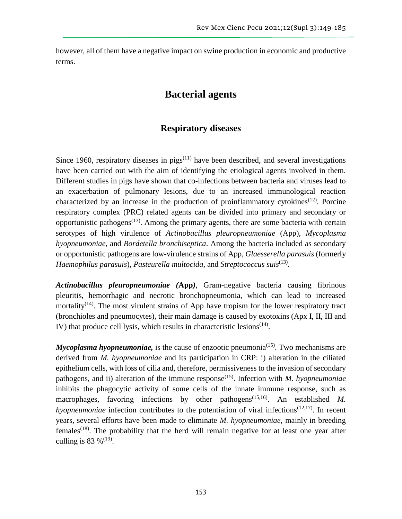however, all of them have a negative impact on swine production in economic and productive terms.

# **Bacterial agents**

### **Respiratory diseases**

Since 1960, respiratory diseases in  $pigs^{(11)}$  have been described, and several investigations have been carried out with the aim of identifying the etiological agents involved in them. Different studies in pigs have shown that co-infections between bacteria and viruses lead to an exacerbation of pulmonary lesions, due to an increased immunological reaction characterized by an increase in the production of proinflammatory cytokines<sup> $(12)$ </sup>. Porcine respiratory complex (PRC) related agents can be divided into primary and secondary or opportunistic pathogens<sup> $(13)$ </sup>. Among the primary agents, there are some bacteria with certain serotypes of high virulence of *Actinobacillus pleuropneumoniae* (App), *Mycoplasma hyopneumoniae*, and *Bordetella bronchiseptica*. Among the bacteria included as secondary or opportunistic pathogens are low-virulence strains of App, *Glaesserella parasuis* (formerly Haemophilus parasuis), Pasteurella multocida, and Streptococcus suis<sup>(13)</sup>.

*Actinobacillus pleuropneumoniae (***App***)*, Gram-negative bacteria causing fibrinous pleuritis, hemorrhagic and necrotic bronchopneumonia, which can lead to increased mortality<sup> $(14)$ </sup>. The most virulent strains of App have tropism for the lower respiratory tract (bronchioles and pneumocytes), their main damage is caused by exotoxins (Apx I, II, III and IV) that produce cell lysis, which results in characteristic lesions $(14)$ .

*Mycoplasma hyopneumoniae,* is the cause of enzootic pneumonia<sup>(15)</sup>. Two mechanisms are derived from *M. hyopneumoniae* and its participation in CRP: i) alteration in the ciliated epithelium cells, with loss of cilia and, therefore, permissiveness to the invasion of secondary pathogens, and ii) alteration of the immune response<sup>(15)</sup>. Infection with *M. hyopneumoniae* inhibits the phagocytic activity of some cells of the innate immune response, such as macrophages, favoring infections by other pathogens<sup>(15,16)</sup>. An established *M*. *hyopneumoniae* infection contributes to the potentiation of viral infections<sup> $(12,17)$ </sup>. In recent years, several efforts have been made to eliminate *M. hyopneumoniae*, mainly in breeding  $f$ emales<sup>(18)</sup>. The probability that the herd will remain negative for at least one year after culling is 83 %<sup> $(19)$ </sup>.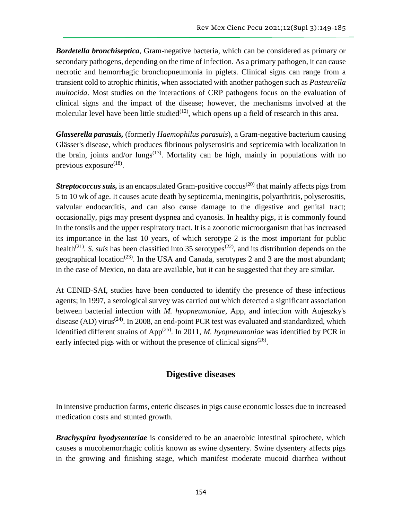*Bordetella bronchiseptica*, Gram-negative bacteria, which can be considered as primary or secondary pathogens, depending on the time of infection. As a primary pathogen, it can cause necrotic and hemorrhagic bronchopneumonia in piglets. Clinical signs can range from a transient cold to atrophic rhinitis, when associated with another pathogen such as *Pasteurella multocida*. Most studies on the interactions of CRP pathogens focus on the evaluation of clinical signs and the impact of the disease; however, the mechanisms involved at the molecular level have been little studied $(12)$ , which opens up a field of research in this area.

*Glasserella parasuis,* (formerly *Haemophilus parasuis*), a Gram-negative bacterium causing Glässer's disease, which produces fibrinous polyserositis and septicemia with localization in the brain, joints and/or lungs<sup> $(13)$ </sup>. Mortality can be high, mainly in populations with no previous exposure $^{(18)}$ .

*Streptococcus suis,* is an encapsulated Gram-positive coccus<sup>(20)</sup> that mainly affects pigs from 5 to 10 wk of age. It causes acute death by septicemia, meningitis, polyarthritis, polyserositis, valvular endocarditis, and can also cause damage to the digestive and genital tract; occasionally, pigs may present dyspnea and cyanosis. In healthy pigs, it is commonly found in the tonsils and the upper respiratory tract. It is a zoonotic microorganism that has increased its importance in the last 10 years, of which serotype 2 is the most important for public health<sup>(21)</sup>. *S. suis* has been classified into 35 serotypes<sup>(22)</sup>, and its distribution depends on the geographical location<sup>(23)</sup>. In the USA and Canada, serotypes 2 and 3 are the most abundant; in the case of Mexico, no data are available, but it can be suggested that they are similar.

At CENID-SAI, studies have been conducted to identify the presence of these infectious agents; in 1997, a serological survey was carried out which detected a significant association between bacterial infection with *M. hyopneumoniae*, App, and infection with Aujeszky's disease (AD) virus<sup>(24)</sup>. In 2008, an end-point PCR test was evaluated and standardized, which identified different strains of App<sup>(25)</sup>. In 2011, *M. hyopneumoniae* was identified by PCR in early infected pigs with or without the presence of clinical signs<sup>(26)</sup>.

### **Digestive diseases**

In intensive production farms, enteric diseases in pigs cause economic losses due to increased medication costs and stunted growth.

*Brachyspira hyodysenteriae* is considered to be an anaerobic intestinal spirochete, which causes a mucohemorrhagic colitis known as swine dysentery. Swine dysentery affects pigs in the growing and finishing stage, which manifest moderate mucoid diarrhea without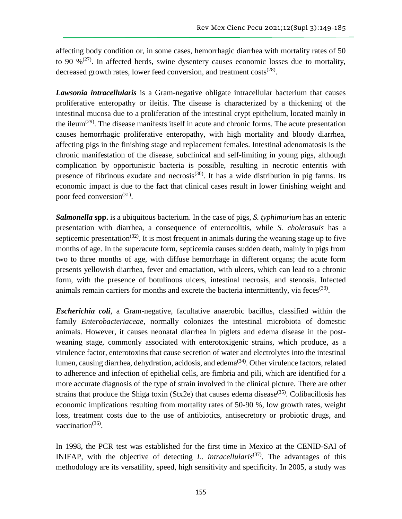affecting body condition or, in some cases, hemorrhagic diarrhea with mortality rates of 50 to 90  $\%^{(27)}$ . In affected herds, swine dysentery causes economic losses due to mortality, decreased growth rates, lower feed conversion, and treatment costs<sup>(28)</sup>.

*Lawsonia intracellularis* is a Gram-negative obligate intracellular bacterium that causes proliferative enteropathy or ileitis. The disease is characterized by a thickening of the intestinal mucosa due to a proliferation of the intestinal crypt epithelium, located mainly in the ileum<sup> $(29)$ </sup>. The disease manifests itself in acute and chronic forms. The acute presentation causes hemorrhagic proliferative enteropathy, with high mortality and bloody diarrhea, affecting pigs in the finishing stage and replacement females. Intestinal adenomatosis is the chronic manifestation of the disease, subclinical and self-limiting in young pigs, although complication by opportunistic bacteria is possible, resulting in necrotic enteritis with presence of fibrinous exudate and necrosis<sup>(30)</sup>. It has a wide distribution in pig farms. Its economic impact is due to the fact that clinical cases result in lower finishing weight and poor feed conversion<sup>(31)</sup>.

*Salmonella* **spp.** is a ubiquitous bacterium. In the case of pigs, *S. typhimurium* has an enteric presentation with diarrhea, a consequence of enterocolitis, while *S. cholerasuis* has a septicemic presentation<sup>(32)</sup>. It is most frequent in animals during the weaning stage up to five months of age. In the superacute form, septicemia causes sudden death, mainly in pigs from two to three months of age, with diffuse hemorrhage in different organs; the acute form presents yellowish diarrhea, fever and emaciation, with ulcers, which can lead to a chronic form, with the presence of botulinous ulcers, intestinal necrosis, and stenosis. Infected animals remain carriers for months and excrete the bacteria intermittently, via feces<sup>(33)</sup>.

*Escherichia coli,* a Gram-negative, facultative anaerobic bacillus, classified within the family *Enterobacteriaceae*, normally colonizes the intestinal microbiota of domestic animals. However, it causes neonatal diarrhea in piglets and edema disease in the postweaning stage, commonly associated with enterotoxigenic strains, which produce, as a virulence factor, enterotoxins that cause secretion of water and electrolytes into the intestinal lumen, causing diarrhea, dehydration, acidosis, and edema(34). Other virulence factors, related to adherence and infection of epithelial cells, are fimbria and pili, which are identified for a more accurate diagnosis of the type of strain involved in the clinical picture. There are other strains that produce the Shiga toxin (Stx2e) that causes edema disease<sup> $(35)$ </sup>. Colibacillosis has economic implications resulting from mortality rates of 50-90 %, low growth rates, weight loss, treatment costs due to the use of antibiotics, antisecretory or probiotic drugs, and vaccination<sup>(36)</sup>.

In 1998, the PCR test was established for the first time in Mexico at the CENID-SAI of INIFAP, with the objective of detecting *L*. *intracellularis*(37). The advantages of this methodology are its versatility, speed, high sensitivity and specificity. In 2005, a study was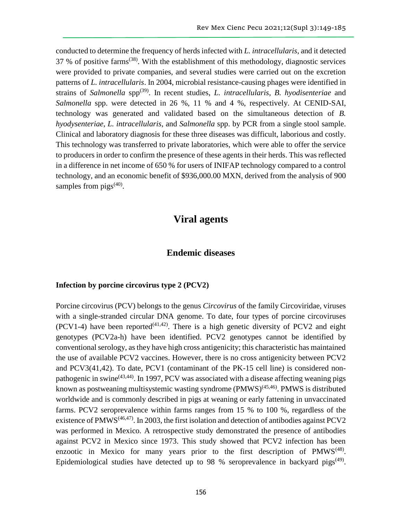conducted to determine the frequency of herds infected with *L. intracellularis*, and it detected 37 % of positive farms(38). With the establishment of this methodology, diagnostic services were provided to private companies, and several studies were carried out on the excretion patterns of *L. intracellularis*. In 2004, microbial resistance-causing phages were identified in strains of *Salmonella* spp(39). In recent studies, *L. intracellularis*, *B. hyodisenteriae* and *Salmonella* spp. were detected in 26 %, 11 % and 4 %, respectively. At CENID-SAI, technology was generated and validated based on the simultaneous detection of *B. hyodysenteriae*, *L. intracellularis*, and *Salmonella* spp. by PCR from a single stool sample. Clinical and laboratory diagnosis for these three diseases was difficult, laborious and costly. This technology was transferred to private laboratories, which were able to offer the service to producers in order to confirm the presence of these agents in their herds. This was reflected in a difference in net income of 650 % for users of INIFAP technology compared to a control technology, and an economic benefit of \$936,000.00 MXN, derived from the analysis of 900 samples from  $pigs^{(40)}$ .

# **Viral agents**

### **Endemic diseases**

#### **Infection by porcine circovirus type 2 (PCV2)**

Porcine circovirus (PCV) belongs to the genus *Circovirus* of the family Circoviridae, viruses with a single-stranded circular DNA genome. To date, four types of porcine circoviruses (PCV1-4) have been reported<sup>(41,42)</sup>. There is a high genetic diversity of PCV2 and eight genotypes (PCV2a-h) have been identified. PCV2 genotypes cannot be identified by conventional serology, as they have high cross antigenicity; this characteristic has maintained the use of available PCV2 vaccines. However, there is no cross antigenicity between PCV2 and PCV3(41,42). To date, PCV1 (contaminant of the PK-15 cell line) is considered nonpathogenic in swine<sup> $(43,44)$ </sup>. In 1997, PCV was associated with a disease affecting weaning pigs known as postweaning multisystemic wasting syndrome  $(PMWS)^{(45,46)}$ . PMWS is distributed worldwide and is commonly described in pigs at weaning or early fattening in unvaccinated farms. PCV2 seroprevalence within farms ranges from 15 % to 100 %, regardless of the existence of PMWS<sup> $(46,47)$ </sup>. In 2003, the first isolation and detection of antibodies against PCV2 was performed in Mexico. A retrospective study demonstrated the presence of antibodies against PCV2 in Mexico since 1973. This study showed that PCV2 infection has been enzootic in Mexico for many years prior to the first description of  $PMWS^{(48)}$ . Epidemiological studies have detected up to 98 % seroprevalence in backyard pigs<sup> $(49)$ </sup>.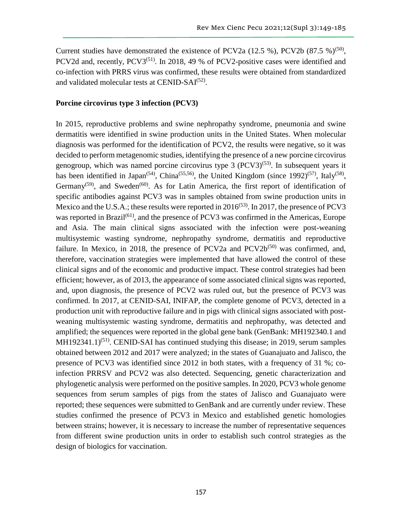Current studies have demonstrated the existence of PCV2a  $(12.5 \%)$ , PCV2b  $(87.5 \%)^{(50)}$ , PCV2d and, recently, PCV3<sup>(51)</sup>. In 2018, 49 % of PCV2-positive cases were identified and co-infection with PRRS virus was confirmed, these results were obtained from standardized and validated molecular tests at CENID-SAI<sup>(52)</sup>.

#### **Porcine circovirus type 3 infection (PCV3)**

In 2015, reproductive problems and swine nephropathy syndrome, pneumonia and swine dermatitis were identified in swine production units in the United States. When molecular diagnosis was performed for the identification of PCV2, the results were negative, so it was decided to perform metagenomic studies, identifying the presence of a new porcine circovirus genogroup, which was named porcine circovirus type  $3 (PCV3)^{(53)}$ . In subsequent years it has been identified in Japan<sup>(54)</sup>, China<sup>(55,56)</sup>, the United Kingdom (since 1992)<sup>(57)</sup>, Italy<sup>(58)</sup>, Germany<sup>(59)</sup>, and Sweden<sup>(60)</sup>. As for Latin America, the first report of identification of specific antibodies against PCV3 was in samples obtained from swine production units in Mexico and the U.S.A.; these results were reported in  $2016^{(53)}$ . In 2017, the presence of PCV3 was reported in Brazil<sup>(61)</sup>, and the presence of PCV3 was confirmed in the Americas, Europe and Asia. The main clinical signs associated with the infection were post-weaning multisystemic wasting syndrome, nephropathy syndrome, dermatitis and reproductive failure. In Mexico, in 2018, the presence of PCV2a and  $PCV2b^{(50)}$  was confirmed, and, therefore, vaccination strategies were implemented that have allowed the control of these clinical signs and of the economic and productive impact. These control strategies had been efficient; however, as of 2013, the appearance of some associated clinical signs was reported, and, upon diagnosis, the presence of PCV2 was ruled out, but the presence of PCV3 was confirmed. In 2017, at CENID-SAI, INIFAP, the complete genome of PCV3, detected in a production unit with reproductive failure and in pigs with clinical signs associated with postweaning multisystemic wasting syndrome, dermatitis and nephropathy, was detected and amplified; the sequences were reported in the global gene bank (GenBank: MH192340.1 and  $MH192341.1)^{(51)}$ . CENID-SAI has continued studying this disease; in 2019, serum samples obtained between 2012 and 2017 were analyzed; in the states of Guanajuato and Jalisco, the presence of PCV3 was identified since 2012 in both states, with a frequency of 31 %; coinfection PRRSV and PCV2 was also detected. Sequencing, genetic characterization and phylogenetic analysis were performed on the positive samples. In 2020, PCV3 whole genome sequences from serum samples of pigs from the states of Jalisco and Guanajuato were reported; these sequences were submitted to GenBank and are currently under review. These studies confirmed the presence of PCV3 in Mexico and established genetic homologies between strains; however, it is necessary to increase the number of representative sequences from different swine production units in order to establish such control strategies as the design of biologics for vaccination.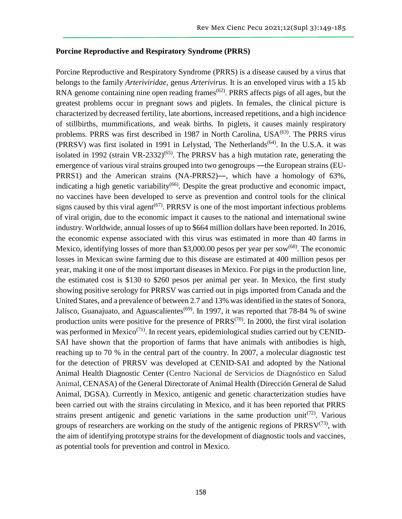#### **Porcine Reproductive and Respiratory Syndrome (PRRS)**

Porcine Reproductive and Respiratory Syndrome (PRRS) is a disease caused by a virus that belongs to the family *Arteriviridae*, genus *Arterivirus*. It is an enveloped virus with a 15 kb RNA genome containing nine open reading frames<sup> $(62)$ </sup>. PRRS affects pigs of all ages, but the greatest problems occur in pregnant sows and piglets. In females, the clinical picture is characterized by decreased fertility, late abortions, increased repetitions, and a high incidence of stillbirths, mummifications, and weak births. In piglets, it causes mainly respiratory problems. PRRS was first described in 1987 in North Carolina, USA<sup>(63)</sup>. The PRRS virus (PRRSV) was first isolated in 1991 in Lelystad, The Netherlands<sup>(64)</sup>. In the U.S.A. it was isolated in 1992 (strain VR-2332)<sup> $(65)$ </sup>. The PRRSV has a high mutation rate, generating the emergence of various viral strains grouped into two genogroups —the European strains (EU-PRRS1) and the American strains (NA-PRRS2)―, which have a homology of 63%, indicating a high genetic variability<sup> $(66)$ </sup>. Despite the great productive and economic impact, no vaccines have been developed to serve as prevention and control tools for the clinical signs caused by this viral agent<sup> $(67)$ </sup>. PRRSV is one of the most important infectious problems of viral origin, due to the economic impact it causes to the national and international swine industry. Worldwide, annual losses of up to \$664 million dollars have been reported. In 2016, the economic expense associated with this virus was estimated in more than 40 farms in Mexico, identifying losses of more than \$3,000.00 pesos per year per sow<sup>(68)</sup>. The economic losses in Mexican swine farming due to this disease are estimated at 400 million pesos per year, making it one of the most important diseases in Mexico. For pigs in the production line, the estimated cost is \$130 to \$260 pesos per animal per year. In Mexico, the first study showing positive serology for PRRSV was carried out in pigs imported from Canada and the United States, and a prevalence of between 2.7 and 13% was identified in the states of Sonora, Jalisco, Guanajuato, and Aguascalientes<sup>(69)</sup>. In 1997, it was reported that 78-84 % of swine production units were positive for the presence of  $PRRS^{(70)}$ . In 2000, the first viral isolation was performed in Mexico<sup> $(71)$ </sup>. In recent years, epidemiological studies carried out by CENID-SAI have shown that the proportion of farms that have animals with antibodies is high, reaching up to 70 % in the central part of the country. In 2007, a molecular diagnostic test for the detection of PRRSV was developed at CENID-SAI and adopted by the National Animal Health Diagnostic Center (Centro Nacional de Servicios de Diagnóstico en Salud Animal, CENASA) of the General Directorate of Animal Health (Dirección General de Salud Animal, DGSA). Currently in Mexico, antigenic and genetic characterization studies have been carried out with the strains circulating in Mexico, and it has been reported that PRRS strains present antigenic and genetic variations in the same production unit<sup>(72)</sup>. Various groups of researchers are working on the study of the antigenic regions of  $PRRSV^{(73)}$ , with the aim of identifying prototype strains for the development of diagnostic tools and vaccines, as potential tools for prevention and control in Mexico.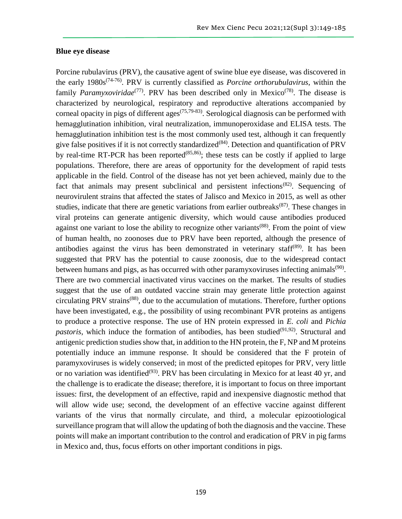#### **Blue eye disease**

Porcine rubulavirus (PRV), the causative agent of swine blue eye disease, was discovered in the early 1980s(74-76). PRV is currently classified as *Porcine orthorubulavirus*, within the family *Paramyxoviridae*<sup>(77)</sup>. PRV has been described only in Mexico<sup>(78)</sup>. The disease is characterized by neurological, respiratory and reproductive alterations accompanied by corneal opacity in pigs of different ages<sup> $(75,79-83)$ </sup>. Serological diagnosis can be performed with hemagglutination inhibition, viral neutralization, immunoperoxidase and ELISA tests. The hemagglutination inhibition test is the most commonly used test, although it can frequently give false positives if it is not correctly standardized<sup>(84)</sup>. Detection and quantification of PRV by real-time RT-PCR has been reported<sup> $(85,86)$ </sup>; these tests can be costly if applied to large populations. Therefore, there are areas of opportunity for the development of rapid tests applicable in the field. Control of the disease has not yet been achieved, mainly due to the fact that animals may present subclinical and persistent infections<sup> $(82)$ </sup>. Sequencing of neurovirulent strains that affected the states of Jalisco and Mexico in 2015, as well as other studies, indicate that there are genetic variations from earlier outbreaks<sup>(87)</sup>. These changes in viral proteins can generate antigenic diversity, which would cause antibodies produced against one variant to lose the ability to recognize other variants<sup> $(88)$ </sup>. From the point of view of human health, no zoonoses due to PRV have been reported, although the presence of antibodies against the virus has been demonstrated in veterinary staff $(89)$ . It has been suggested that PRV has the potential to cause zoonosis, due to the widespread contact between humans and pigs, as has occurred with other paramyxoviruses infecting animals<sup> $(90)$ </sup>. There are two commercial inactivated virus vaccines on the market. The results of studies suggest that the use of an outdated vaccine strain may generate little protection against circulating PRV strains(88), due to the accumulation of mutations. Therefore, further options have been investigated, e.g., the possibility of using recombinant PVR proteins as antigens to produce a protective response. The use of HN protein expressed in *E. coli* and *Pichia pastoris*, which induce the formation of antibodies, has been studied<sup> $(91,92)$ </sup>. Structural and antigenic prediction studies show that, in addition to the HN protein, the F, NP and M proteins potentially induce an immune response. It should be considered that the F protein of paramyxoviruses is widely conserved; in most of the predicted epitopes for PRV, very little or no variation was identified<sup> $(93)$ </sup>. PRV has been circulating in Mexico for at least 40 yr, and the challenge is to eradicate the disease; therefore, it is important to focus on three important issues: first, the development of an effective, rapid and inexpensive diagnostic method that will allow wide use; second, the development of an effective vaccine against different variants of the virus that normally circulate, and third, a molecular epizootiological surveillance program that will allow the updating of both the diagnosis and the vaccine. These points will make an important contribution to the control and eradication of PRV in pig farms in Mexico and, thus, focus efforts on other important conditions in pigs.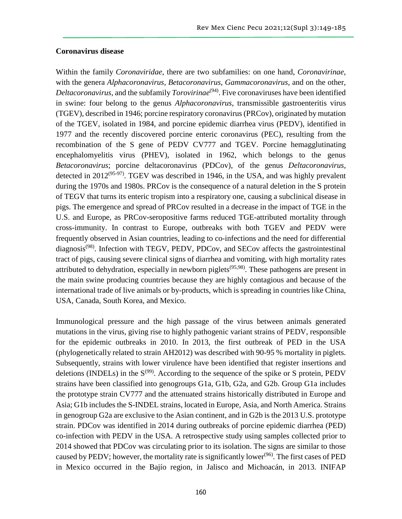#### **Coronavirus disease**

Within the family *Coronaviridae*, there are two subfamilies: on one hand, *Coronavirinae*, with the genera *Alphacoronavirus*, *Betacoronavirus*, *Gammacoronavirus*, and on the other, *Deltacoronavirus*, and the subfamily *Torovirinae*<sup>(94)</sup>. Five coronaviruses have been identified in swine: four belong to the genus *Alphacoronavirus*, transmissible gastroenteritis virus (TGEV), described in 1946; porcine respiratory coronavirus (PRCov), originated by mutation of the TGEV, isolated in 1984, and porcine epidemic diarrhea virus (PEDV), identified in 1977 and the recently discovered porcine enteric coronavirus (PEC), resulting from the recombination of the S gene of PEDV CV777 and TGEV. Porcine hemagglutinating encephalomyelitis virus (PHEV), isolated in 1962, which belongs to the genus *Betacoronavirus*; porcine deltacoronavirus (PDCov), of the genus *Deltacoronavirus*, detected in  $2012^{(95-97)}$ . TGEV was described in 1946, in the USA, and was highly prevalent during the 1970s and 1980s. PRCov is the consequence of a natural deletion in the S protein of TEGV that turns its enteric tropism into a respiratory one, causing a subclinical disease in pigs. The emergence and spread of PRCov resulted in a decrease in the impact of TGE in the U.S. and Europe, as PRCov-seropositive farms reduced TGE-attributed mortality through cross-immunity. In contrast to Europe, outbreaks with both TGEV and PEDV were frequently observed in Asian countries, leading to co-infections and the need for differential diagnosis<sup> $(98)$ </sup>. Infection with TEGV, PEDV, PDCov, and SECov affects the gastrointestinal tract of pigs, causing severe clinical signs of diarrhea and vomiting, with high mortality rates attributed to dehydration, especially in newborn piglets<sup> $(95,98)$ </sup>. These pathogens are present in the main swine producing countries because they are highly contagious and because of the international trade of live animals or by-products, which is spreading in countries like China, USA, Canada, South Korea, and Mexico.

Immunological pressure and the high passage of the virus between animals generated mutations in the virus, giving rise to highly pathogenic variant strains of PEDV, responsible for the epidemic outbreaks in 2010. In 2013, the first outbreak of PED in the USA (phylogenetically related to strain AH2012) was described with 90-95 % mortality in piglets. Subsequently, strains with lower virulence have been identified that register insertions and deletions (INDELs) in the  $S^{(99)}$ . According to the sequence of the spike or S protein, PEDV strains have been classified into genogroups G1a, G1b, G2a, and G2b. Group G1a includes the prototype strain CV777 and the attenuated strains historically distributed in Europe and Asia; G1b includes the S-INDEL strains, located in Europe, Asia, and North America. Strains in genogroup G2a are exclusive to the Asian continent, and in G2b is the 2013 U.S. prototype strain. PDCov was identified in 2014 during outbreaks of porcine epidemic diarrhea (PED) co-infection with PEDV in the USA. A retrospective study using samples collected prior to 2014 showed that PDCov was circulating prior to its isolation. The signs are similar to those caused by PEDV; however, the mortality rate is significantly lower<sup>(96)</sup>. The first cases of PED in Mexico occurred in the Bajío region, in Jalisco and Michoacán, in 2013. INIFAP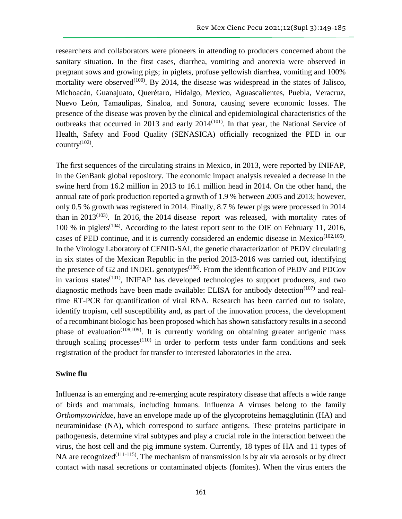researchers and collaborators were pioneers in attending to producers concerned about the sanitary situation. In the first cases, diarrhea, vomiting and anorexia were observed in pregnant sows and growing pigs; in piglets, profuse yellowish diarrhea, vomiting and 100% mortality were observed<sup> $(100)$ </sup>. By 2014, the disease was widespread in the states of Jalisco, Michoacán, Guanajuato, Querétaro, Hidalgo, Mexico, Aguascalientes, Puebla, Veracruz, Nuevo León, Tamaulipas, Sinaloa, and Sonora, causing severe economic losses. The presence of the disease was proven by the clinical and epidemiological characteristics of the outbreaks that occurred in 2013 and early  $2014^{(101)}$ . In that year, the National Service of Health, Safety and Food Quality (SENASICA) officially recognized the PED in our country $^{(102)}$ .

The first sequences of the circulating strains in Mexico, in 2013, were reported by INIFAP, in the GenBank global repository. The economic impact analysis revealed a decrease in the swine herd from 16.2 million in 2013 to 16.1 million head in 2014. On the other hand, the annual rate of pork production reported a growth of 1.9 % between 2005 and 2013; however, only 0.5 % growth was registered in 2014. Finally, 8.7 % fewer pigs were processed in 2014 than in 2013<sup>(103)</sup>. In 2016, the 2014 disease report was released, with mortality rates of 100 % in piglets<sup> $(104)$ </sup>. According to the latest report sent to the OIE on February 11, 2016, cases of PED continue, and it is currently considered an endemic disease in Mexico<sup> $(102,105)$ </sup>. In the Virology Laboratory of CENID-SAI, the genetic characterization of PEDV circulating in six states of the Mexican Republic in the period 2013-2016 was carried out, identifying the presence of G2 and INDEL genotypes<sup>(106)</sup>. From the identification of PEDV and PDCov in various states<sup>(101)</sup>, INIFAP has developed technologies to support producers, and two diagnostic methods have been made available: ELISA for antibody detection $(107)$  and realtime RT-PCR for quantification of viral RNA. Research has been carried out to isolate, identify tropism, cell susceptibility and, as part of the innovation process, the development of a recombinant biologic has been proposed which has shown satisfactory results in a second phase of evaluation<sup>(108,109)</sup>. It is currently working on obtaining greater antigenic mass through scaling processes $(110)$  in order to perform tests under farm conditions and seek registration of the product for transfer to interested laboratories in the area.

#### **Swine flu**

Influenza is an emerging and re-emerging acute respiratory disease that affects a wide range of birds and mammals, including humans. Influenza A viruses belong to the family *Orthomyxoviridae,* have an envelope made up of the glycoproteins hemagglutinin (HA) and neuraminidase (NA), which correspond to surface antigens. These proteins participate in pathogenesis, determine viral subtypes and play a crucial role in the interaction between the virus, the host cell and the pig immune system. Currently, 18 types of HA and 11 types of NA are recognized<sup> $(111-115)$ </sup>. The mechanism of transmission is by air via aerosols or by direct contact with nasal secretions or contaminated objects (fomites). When the virus enters the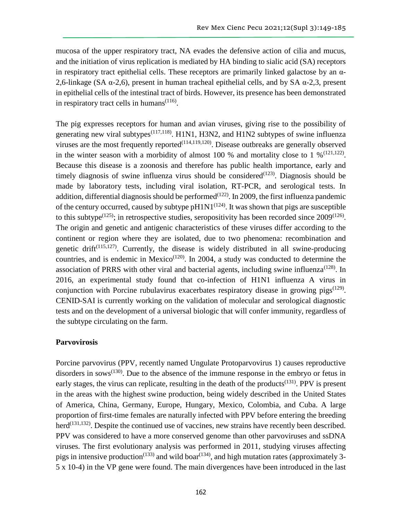mucosa of the upper respiratory tract, NA evades the defensive action of cilia and mucus, and the initiation of virus replication is mediated by HA binding to sialic acid (SA) receptors in respiratory tract epithelial cells. These receptors are primarily linked galactose by an  $\alpha$ -2,6-linkage (SA α-2,6), present in human tracheal epithelial cells, and by SA α-2,3, present in epithelial cells of the intestinal tract of birds. However, its presence has been demonstrated in respiratory tract cells in humans $(116)$ .

The pig expresses receptors for human and avian viruses, giving rise to the possibility of generating new viral subtypes<sup> $(117,118)$ </sup>. H1N1, H3N2, and H1N2 subtypes of swine influenza viruses are the most frequently reported<sup>(114,119,120)</sup>. Disease outbreaks are generally observed in the winter season with a morbidity of almost 100 % and mortality close to 1 %  $(121,122)$ . Because this disease is a zoonosis and therefore has public health importance, early and timely diagnosis of swine influenza virus should be considered<sup> $(123)$ </sup>. Diagnosis should be made by laboratory tests, including viral isolation, RT-PCR, and serological tests. In addition, differential diagnosis should be performed<sup> $(122)$ </sup>. In 2009, the first influenza pandemic of the century occurred, caused by subtype  $pH1N1^{(124)}$ . It was shown that pigs are susceptible to this subtype<sup> $(125)$ </sup>; in retrospective studies, seropositivity has been recorded since  $2009^{(126)}$ . The origin and genetic and antigenic characteristics of these viruses differ according to the continent or region where they are isolated, due to two phenomena: recombination and genetic drift<sup> $(115,127)$ </sup>. Currently, the disease is widely distributed in all swine-producing countries, and is endemic in Mexico<sup> $(120)$ </sup>. In 2004, a study was conducted to determine the association of PRRS with other viral and bacterial agents, including swine influenza<sup> $(128)$ </sup>. In 2016, an experimental study found that co-infection of H1N1 influenza A virus in conjunction with Porcine rubulavirus exacerbates respiratory disease in growing pigs<sup> $(129)$ </sup>. CENID-SAI is currently working on the validation of molecular and serological diagnostic tests and on the development of a universal biologic that will confer immunity, regardless of the subtype circulating on the farm.

#### **Parvovirosis**

Porcine parvovirus (PPV, recently named Ungulate Protoparvovirus 1) causes reproductive disorders in sows $^{(130)}$ . Due to the absence of the immune response in the embryo or fetus in early stages, the virus can replicate, resulting in the death of the products<sup>(131)</sup>. PPV is present in the areas with the highest swine production, being widely described in the United States of America, China, Germany, Europe, Hungary, Mexico, Colombia, and Cuba. A large proportion of first-time females are naturally infected with PPV before entering the breeding  $herd^{(131,132)}$ . Despite the continued use of vaccines, new strains have recently been described. PPV was considered to have a more conserved genome than other parvoviruses and ssDNA viruses. The first evolutionary analysis was performed in 2011, studying viruses affecting pigs in intensive production<sup>(133)</sup> and wild boar<sup>(134)</sup>, and high mutation rates (approximately 3-5 x 10-4) in the VP gene were found. The main divergences have been introduced in the last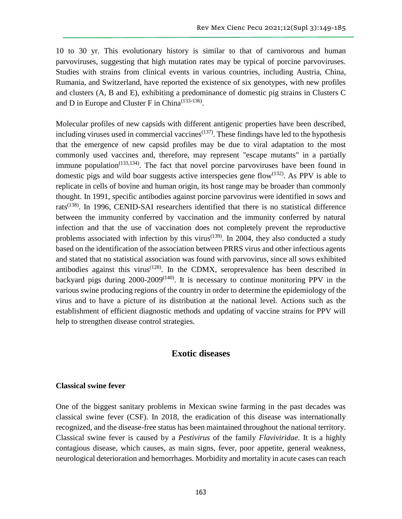10 to 30 yr. This evolutionary history is similar to that of carnivorous and human parvoviruses, suggesting that high mutation rates may be typical of porcine parvoviruses. Studies with strains from clinical events in various countries, including Austria, China, Rumania, and Switzerland, have reported the existence of six genotypes, with new profiles and clusters (A, B and E), exhibiting a predominance of domestic pig strains in Clusters C and D in Europe and Cluster F in China $^{(133-136)}$ .

Molecular profiles of new capsids with different antigenic properties have been described, including viruses used in commercial vaccines<sup> $(137)$ </sup>. These findings have led to the hypothesis that the emergence of new capsid profiles may be due to viral adaptation to the most commonly used vaccines and, therefore, may represent "escape mutants" in a partially immune population<sup> $(133,134)$ </sup>. The fact that novel porcine parvoviruses have been found in domestic pigs and wild boar suggests active interspecies gene flow<sup> $(132)$ </sup>. As PPV is able to replicate in cells of bovine and human origin, its host range may be broader than commonly thought. In 1991, specific antibodies against porcine parvovirus were identified in sows and rats<sup>(138)</sup>. In 1996, CENID-SAI researchers identified that there is no statistical difference between the immunity conferred by vaccination and the immunity conferred by natural infection and that the use of vaccination does not completely prevent the reproductive problems associated with infection by this virus<sup> $(139)$ </sup>. In 2004, they also conducted a study based on the identification of the association between PRRS virus and other infectious agents and stated that no statistical association was found with parvovirus, since all sows exhibited antibodies against this virus<sup> $(128)$ </sup>. In the CDMX, seroprevalence has been described in backyard pigs during  $2000-2009^{(140)}$ . It is necessary to continue monitoring PPV in the various swine producing regions of the country in order to determine the epidemiology of the virus and to have a picture of its distribution at the national level. Actions such as the establishment of efficient diagnostic methods and updating of vaccine strains for PPV will help to strengthen disease control strategies.

### **Exotic diseases**

#### **Classical swine fever**

One of the biggest sanitary problems in Mexican swine farming in the past decades was classical swine fever (CSF). In 2018, the eradication of this disease was internationally recognized, and the disease-free status has been maintained throughout the national territory. Classical swine fever is caused by a *Pestivirus* of the family *Flaviviridae*. It is a highly contagious disease, which causes, as main signs, fever, poor appetite, general weakness, neurological deterioration and hemorrhages. Morbidity and mortality in acute cases can reach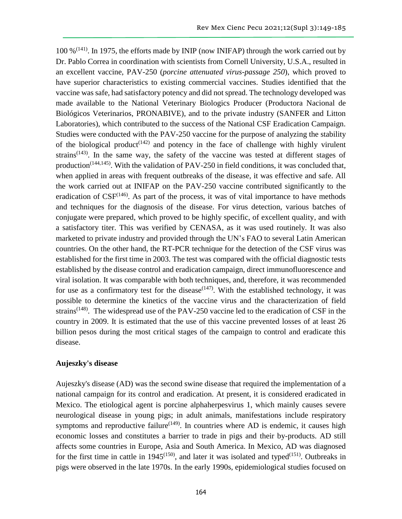100  $\%$ <sup>(141)</sup>. In 1975, the efforts made by INIP (now INIFAP) through the work carried out by Dr. Pablo Correa in coordination with scientists from Cornell University, U.S.A., resulted in an excellent vaccine, PAV-250 (*porcine attenuated virus-passage 250*), which proved to have superior characteristics to existing commercial vaccines. Studies identified that the vaccine was safe, had satisfactory potency and did not spread. The technology developed was made available to the National Veterinary Biologics Producer (Productora Nacional de Biológicos Veterinarios, PRONABIVE), and to the private industry (SANFER and Litton Laboratories), which contributed to the success of the National CSF Eradication Campaign. Studies were conducted with the PAV-250 vaccine for the purpose of analyzing the stability of the biological product<sup> $(142)$ </sup> and potency in the face of challenge with highly virulent strains<sup> $(143)$ </sup>. In the same way, the safety of the vaccine was tested at different stages of production<sup>(144,145)</sup>. With the validation of PAV-250 in field conditions, it was concluded that, when applied in areas with frequent outbreaks of the disease, it was effective and safe. All the work carried out at INIFAP on the PAV-250 vaccine contributed significantly to the eradication of  $CSF^{(146)}$ . As part of the process, it was of vital importance to have methods and techniques for the diagnosis of the disease. For virus detection, various batches of conjugate were prepared, which proved to be highly specific, of excellent quality, and with a satisfactory titer. This was verified by CENASA, as it was used routinely. It was also marketed to private industry and provided through the UN's FAO to several Latin American countries. On the other hand, the RT-PCR technique for the detection of the CSF virus was established for the first time in 2003. The test was compared with the official diagnostic tests established by the disease control and eradication campaign, direct immunofluorescence and viral isolation. It was comparable with both techniques, and, therefore, it was recommended for use as a confirmatory test for the disease<sup> $(147)$ </sup>. With the established technology, it was possible to determine the kinetics of the vaccine virus and the characterization of field strains<sup> $(148)$ </sup>. The widespread use of the PAV-250 vaccine led to the eradication of CSF in the country in 2009. It is estimated that the use of this vaccine prevented losses of at least 26 billion pesos during the most critical stages of the campaign to control and eradicate this disease.

#### **Aujeszky's disease**

Aujeszky's disease (AD) was the second swine disease that required the implementation of a national campaign for its control and eradication. At present, it is considered eradicated in Mexico. The etiological agent is porcine alphaherpesvirus 1, which mainly causes severe neurological disease in young pigs; in adult animals, manifestations include respiratory symptoms and reproductive failure<sup> $(149)$ </sup>. In countries where AD is endemic, it causes high economic losses and constitutes a barrier to trade in pigs and their by-products. AD still affects some countries in Europe, Asia and South America. In Mexico, AD was diagnosed for the first time in cattle in 1945<sup>(150)</sup>, and later it was isolated and typed<sup>(151)</sup>. Outbreaks in pigs were observed in the late 1970s. In the early 1990s, epidemiological studies focused on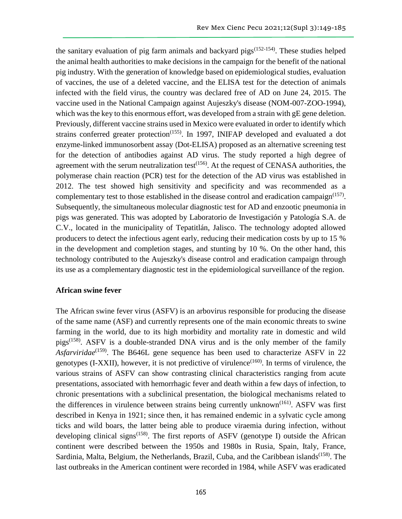the sanitary evaluation of pig farm animals and backyard pigs $(152-154)$ . These studies helped the animal health authorities to make decisions in the campaign for the benefit of the national pig industry. With the generation of knowledge based on epidemiological studies, evaluation of vaccines, the use of a deleted vaccine, and the ELISA test for the detection of animals infected with the field virus, the country was declared free of AD on June 24, 2015. The vaccine used in the National Campaign against Aujeszky's disease (NOM-007-ZOO-1994), which was the key to this enormous effort, was developed from a strain with gE gene deletion. Previously, different vaccine strains used in Mexico were evaluated in order to identify which strains conferred greater protection<sup> $(155)$ </sup>. In 1997, INIFAP developed and evaluated a dot enzyme-linked immunosorbent assay (Dot-ELISA) proposed as an alternative screening test for the detection of antibodies against AD virus. The study reported a high degree of agreement with the serum neutralization test $^{(156)}$ . At the request of CENASA authorities, the polymerase chain reaction (PCR) test for the detection of the AD virus was established in 2012. The test showed high sensitivity and specificity and was recommended as a complementary test to those established in the disease control and eradication campaign<sup> $(157)$ </sup>. Subsequently, the simultaneous molecular diagnostic test for AD and enzootic pneumonia in pigs was generated. This was adopted by Laboratorio de Investigación y Patología S.A. de C.V., located in the municipality of Tepatitlán, Jalisco. The technology adopted allowed producers to detect the infectious agent early, reducing their medication costs by up to 15 % in the development and completion stages, and stunting by 10 %. On the other hand, this technology contributed to the Aujeszky's disease control and eradication campaign through its use as a complementary diagnostic test in the epidemiological surveillance of the region.

#### **African swine fever**

The African swine fever virus (ASFV) is an arbovirus responsible for producing the disease of the same name (ASF) and currently represents one of the main economic threats to swine farming in the world, due to its high morbidity and mortality rate in domestic and wild pigs<sup> $(158)$ </sup>. ASFV is a double-stranded DNA virus and is the only member of the family Asfarviridae<sup>(159)</sup>. The B646L gene sequence has been used to characterize ASFV in 22 genotypes  $(I-XXII)$ , however, it is not predictive of virulence<sup> $(160)$ </sup>. In terms of virulence, the various strains of ASFV can show contrasting clinical characteristics ranging from acute presentations, associated with hemorrhagic fever and death within a few days of infection, to chronic presentations with a subclinical presentation, the biological mechanisms related to the differences in virulence between strains being currently unknown<sup> $(161)$ </sup>. ASFV was first described in Kenya in 1921; since then, it has remained endemic in a sylvatic cycle among ticks and wild boars, the latter being able to produce viraemia during infection, without developing clinical signs<sup> $(158)$ </sup>. The first reports of ASFV (genotype I) outside the African continent were described between the 1950s and 1980s in Rusia, Spain, Italy, France, Sardinia, Malta, Belgium, the Netherlands, Brazil, Cuba, and the Caribbean islands<sup>(158)</sup>. The last outbreaks in the American continent were recorded in 1984, while ASFV was eradicated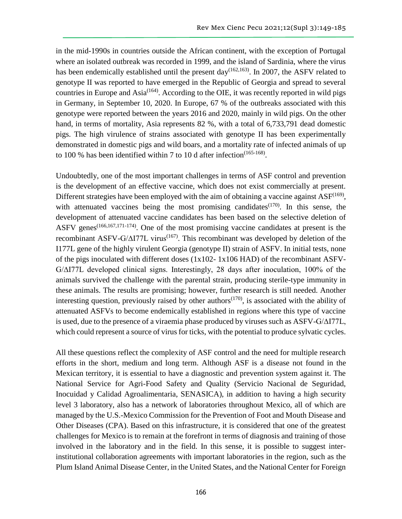in the mid-1990s in countries outside the African continent, with the exception of Portugal where an isolated outbreak was recorded in 1999, and the island of Sardinia, where the virus has been endemically established until the present day<sup>(162,163)</sup>. In 2007, the ASFV related to genotype II was reported to have emerged in the Republic of Georgia and spread to several countries in Europe and Asia<sup>(164)</sup>. According to the OIE, it was recently reported in wild pigs in Germany, in September 10, 2020. In Europe, 67 % of the outbreaks associated with this genotype were reported between the years 2016 and 2020, mainly in wild pigs. On the other hand, in terms of mortality, Asia represents 82 %, with a total of 6,733,791 dead domestic pigs. The high virulence of strains associated with genotype II has been experimentally demonstrated in domestic pigs and wild boars, and a mortality rate of infected animals of up to 100 % has been identified within 7 to 10 d after infection<sup> $(165-168)$ </sup>.

Undoubtedly, one of the most important challenges in terms of ASF control and prevention is the development of an effective vaccine, which does not exist commercially at present. Different strategies have been employed with the aim of obtaining a vaccine against  $\text{ASF}^{(169)}$ , with attenuated vaccines being the most promising candidates $(170)$ . In this sense, the development of attenuated vaccine candidates has been based on the selective deletion of ASFV genes<sup> $(166,167,171-174)$ </sup>. One of the most promising vaccine candidates at present is the recombinant ASFV-G/ $\Delta$ I77L virus<sup>(167)</sup>. This recombinant was developed by deletion of the I177L gene of the highly virulent Georgia (genotype II) strain of ASFV. In initial tests, none of the pigs inoculated with different doses (1x102- 1x106 HAD) of the recombinant ASFV-G/∆I77L developed clinical signs. Interestingly, 28 days after inoculation, 100% of the animals survived the challenge with the parental strain, producing sterile-type immunity in these animals. The results are promising; however, further research is still needed. Another interesting question, previously raised by other authors<sup> $(170)$ </sup>, is associated with the ability of attenuated ASFVs to become endemically established in regions where this type of vaccine is used, due to the presence of a viraemia phase produced by viruses such as ASFV-G/∆I77L, which could represent a source of virus for ticks, with the potential to produce sylvatic cycles.

All these questions reflect the complexity of ASF control and the need for multiple research efforts in the short, medium and long term. Although ASF is a disease not found in the Mexican territory, it is essential to have a diagnostic and prevention system against it. The National Service for Agri-Food Safety and Quality (Servicio Nacional de Seguridad, Inocuidad y Calidad Agroalimentaria, SENASICA), in addition to having a high security level 3 laboratory, also has a network of laboratories throughout Mexico, all of which are managed by the U.S.-Mexico Commission for the Prevention of Foot and Mouth Disease and Other Diseases (CPA). Based on this infrastructure, it is considered that one of the greatest challenges for Mexico is to remain at the forefront in terms of diagnosis and training of those involved in the laboratory and in the field. In this sense, it is possible to suggest interinstitutional collaboration agreements with important laboratories in the region, such as the Plum Island Animal Disease Center, in the United States, and the National Center for Foreign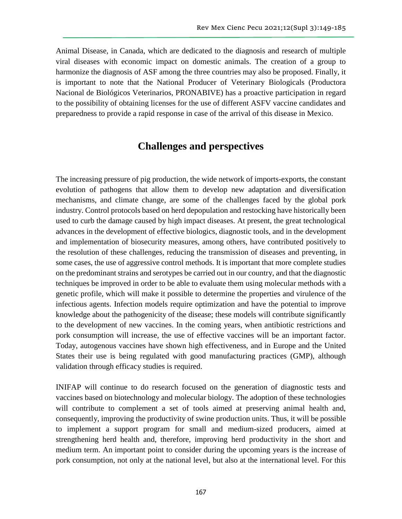Animal Disease, in Canada, which are dedicated to the diagnosis and research of multiple viral diseases with economic impact on domestic animals. The creation of a group to harmonize the diagnosis of ASF among the three countries may also be proposed. Finally, it is important to note that the National Producer of Veterinary Biologicals (Productora Nacional de Biológicos Veterinarios, PRONABIVE) has a proactive participation in regard to the possibility of obtaining licenses for the use of different ASFV vaccine candidates and preparedness to provide a rapid response in case of the arrival of this disease in Mexico.

# **Challenges and perspectives**

The increasing pressure of pig production, the wide network of imports-exports, the constant evolution of pathogens that allow them to develop new adaptation and diversification mechanisms, and climate change, are some of the challenges faced by the global pork industry. Control protocols based on herd depopulation and restocking have historically been used to curb the damage caused by high impact diseases. At present, the great technological advances in the development of effective biologics, diagnostic tools, and in the development and implementation of biosecurity measures, among others, have contributed positively to the resolution of these challenges, reducing the transmission of diseases and preventing, in some cases, the use of aggressive control methods. It is important that more complete studies on the predominant strains and serotypes be carried out in our country, and that the diagnostic techniques be improved in order to be able to evaluate them using molecular methods with a genetic profile, which will make it possible to determine the properties and virulence of the infectious agents. Infection models require optimization and have the potential to improve knowledge about the pathogenicity of the disease; these models will contribute significantly to the development of new vaccines. In the coming years, when antibiotic restrictions and pork consumption will increase, the use of effective vaccines will be an important factor. Today, autogenous vaccines have shown high effectiveness, and in Europe and the United States their use is being regulated with good manufacturing practices (GMP), although validation through efficacy studies is required.

INIFAP will continue to do research focused on the generation of diagnostic tests and vaccines based on biotechnology and molecular biology. The adoption of these technologies will contribute to complement a set of tools aimed at preserving animal health and, consequently, improving the productivity of swine production units. Thus, it will be possible to implement a support program for small and medium-sized producers, aimed at strengthening herd health and, therefore, improving herd productivity in the short and medium term. An important point to consider during the upcoming years is the increase of pork consumption, not only at the national level, but also at the international level. For this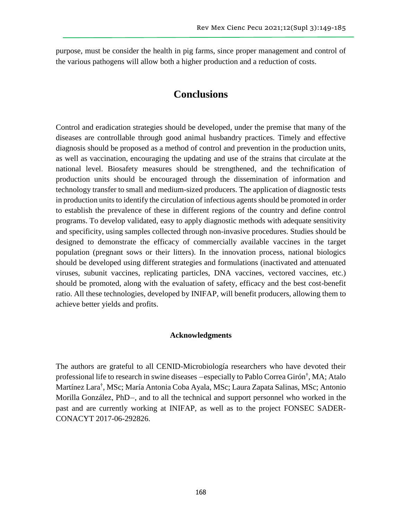purpose, must be consider the health in pig farms, since proper management and control of the various pathogens will allow both a higher production and a reduction of costs.

# **Conclusions**

Control and eradication strategies should be developed, under the premise that many of the diseases are controllable through good animal husbandry practices. Timely and effective diagnosis should be proposed as a method of control and prevention in the production units, as well as vaccination, encouraging the updating and use of the strains that circulate at the national level. Biosafety measures should be strengthened, and the technification of production units should be encouraged through the dissemination of information and technology transfer to small and medium-sized producers. The application of diagnostic tests in production units to identify the circulation of infectious agents should be promoted in order to establish the prevalence of these in different regions of the country and define control programs. To develop validated, easy to apply diagnostic methods with adequate sensitivity and specificity, using samples collected through non-invasive procedures. Studies should be designed to demonstrate the efficacy of commercially available vaccines in the target population (pregnant sows or their litters). In the innovation process, national biologics should be developed using different strategies and formulations (inactivated and attenuated viruses, subunit vaccines, replicating particles, DNA vaccines, vectored vaccines, etc.) should be promoted, along with the evaluation of safety, efficacy and the best cost-benefit ratio. All these technologies, developed by INIFAP, will benefit producers, allowing them to achieve better yields and profits.

#### **Acknowledgments**

The authors are grateful to all CENID-Microbiología researchers who have devoted their professional life to research in swine diseases —especially to Pablo Correa Girón† , MA; Atalo Martínez Lara† , MSc; María Antonia Coba Ayala, MSc; Laura Zapata Salinas, MSc; Antonio Morilla González, PhD—, and to all the technical and support personnel who worked in the past and are currently working at INIFAP, as well as to the project FONSEC SADER-CONACYT 2017-06-292826.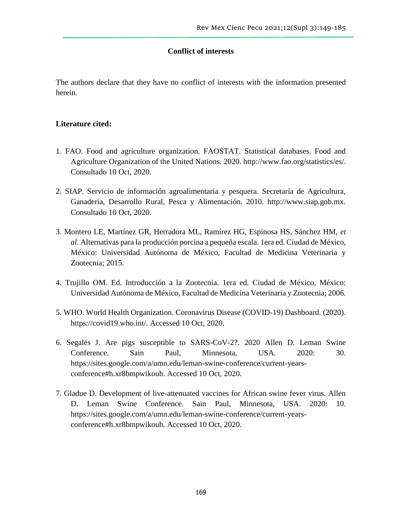#### **Conflict of interests**

The authors declare that they have no conflict of interests with the information presented herein.

#### **Literature cited:**

- 1. FAO. Food and agriculture organization. FAOSTAT. Statistical databases. Food and Agriculture Organization of the United Nations. 2020. http://www.fao.org/statistics/es/. Consultado 10 Oct, 2020.
- 2. SIAP. Servicio de información agroalimentaria y pesquera. Secretaría de Agricultura, Ganadería, Desarrollo Rural, Pesca y Alimentación. 2010. http://www.siap.gob.mx. Consultado 10 Oct, 2020.
- 3. Montero LE, Martínez GR, Herradora ML, Ramírez HG, Espinosa HS, Sánchez HM, *et al*. Alternativas para la producción porcina a pequeña escala. 1era ed. Ciudad de México, México: Universidad Autónoma de México, Facultad de Medicina Veterinaria y Zootecnia; 2015.
- 4. Trujillo OM. Ed. Introducción a la Zootecnia. 1era ed. Ciudad de México, México: Universidad Autónoma de México, Facultad de Medicina Veterinaria y Zootecnia; 2006.
- 5. WHO. World Health Organization. Coronavirus Disease (COVID-19) Dashboard. (2020). https://covid19.who.int/. Accessed 10 Oct, 2020.
- 6. Segalés J. Are pigs susceptible to SARS-CoV-2?. 2020 Allen D. Leman Swine Conference. Sain Paul, Minnesota, USA. 2020: 30. https://sites.google.com/a/umn.edu/leman-swine-conference/current-yearsconference#h.xr8bmpwikouh. Accessed 10 Oct, 2020.
- 7. Gladue D. Development of live-attenuated vaccines for African swine fever virus. Allen D. Leman Swine Conference. Sain Paul, Minnesota, USA. 2020: 10. https://sites.google.com/a/umn.edu/leman-swine-conference/current-yearsconference#h.xr8bmpwikouh. Accessed 10 Oct, 2020.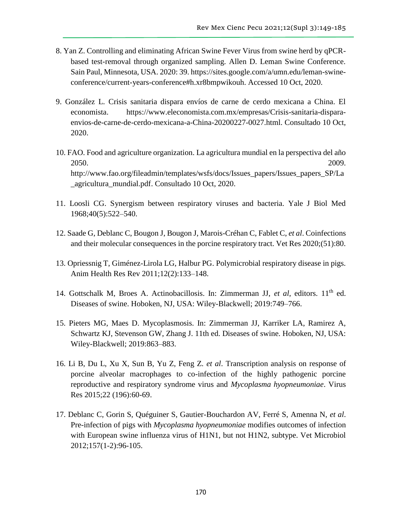- 8. Yan Z. Controlling and eliminating African Swine Fever Virus from swine herd by qPCRbased test-removal through organized sampling. Allen D. Leman Swine Conference. Sain Paul, Minnesota, USA. 2020: 39. https://sites.google.com/a/umn.edu/leman-swineconference/current-years-conference#h.xr8bmpwikouh. Accessed 10 Oct, 2020.
- 9. González L. Crisis sanitaria dispara envíos de carne de cerdo mexicana a China. El economista. https://www.eleconomista.com.mx/empresas/Crisis-sanitaria-disparaenvios-de-carne-de-cerdo-mexicana-a-China-20200227-0027.html. Consultado 10 Oct, 2020.
- 10. FAO. Food and agriculture organization. La agricultura mundial en la perspectiva del año 2050. 2009. [http://www.fao.org/fileadmin/templates/wsfs/docs/Issues\\_papers/Issues\\_papers\\_SP/La](http://www.fao.org/fileadmin/templates/wsfs/docs/Issues_papers/Issues_papers_SP/La_agricultura_mundial.pdf) [\\_agricultura\\_mundial.pdf.](http://www.fao.org/fileadmin/templates/wsfs/docs/Issues_papers/Issues_papers_SP/La_agricultura_mundial.pdf) Consultado 10 Oct, 2020.
- 11. Loosli CG. Synergism between respiratory viruses and bacteria. Yale J Biol Med 1968;40(5):522–540.
- 12. Saade G, Deblanc C, Bougon J, Bougon J, Marois-Créhan C, Fablet C, *et al*. Coinfections and their molecular consequences in the porcine respiratory tract. Vet Res 2020;(51):80.
- 13. Opriessnig T, Giménez-Lirola LG, Halbur PG. Polymicrobial respiratory disease in pigs. Anim Health Res Rev 2011;12(2):133–148.
- 14. Gottschalk M, Broes A. Actinobacillosis. In: Zimmerman JJ, *et al*, editors. 11th ed. Diseases of swine. Hoboken, NJ, USA: Wiley-Blackwell; 2019:749–766.
- 15. Pieters MG, Maes D. Mycoplasmosis. In: Zimmerman JJ, Karriker LA, Ramirez A, Schwartz KJ, Stevenson GW, Zhang J. 11th ed. Diseases of swine. Hoboken, NJ, USA: Wiley-Blackwell; 2019:863–883.
- 16. Li B, Du L, Xu X, Sun B, Yu Z, Feng Z. *et al*. Transcription analysis on response of porcine alveolar macrophages to co-infection of the highly pathogenic porcine reproductive and respiratory syndrome virus and *Mycoplasma hyopneumoniae*. Virus Res 2015;22 (196):60-69.
- 17. Deblanc C, Gorin S, Quéguiner S, Gautier-Bouchardon AV, Ferré S, Amenna N, *et al*. Pre-infection of pigs with *Mycoplasma hyopneumoniae* modifies outcomes of infection with European swine influenza virus of H1N1, but not H1N2, subtype. Vet Microbiol 2012;157(1-2):96-105.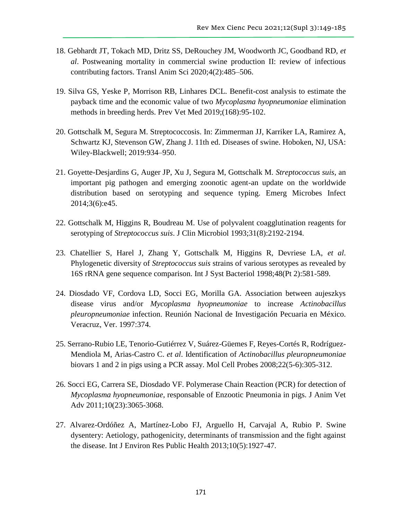- 18. Gebhardt JT, Tokach MD, Dritz SS, DeRouchey JM, Woodworth JC, Goodband RD, *et al*. Postweaning mortality in commercial swine production II: review of infectious contributing factors. Transl Anim Sci 2020;4(2):485–506.
- 19. Silva GS, Yeske P, Morrison RB, Linhares DCL. Benefit-cost analysis to estimate the payback time and the economic value of two *Mycoplasma hyopneumoniae* elimination methods in breeding herds. Prev Vet Med 2019;(168):95-102.
- 20. Gottschalk M, Segura M. Streptococcosis. In: Zimmerman JJ, Karriker LA, Ramirez A, Schwartz KJ, Stevenson GW, Zhang J. 11th ed. Diseases of swine. Hoboken, NJ, USA: Wiley-Blackwell; 2019:934–950.
- 21. Goyette-Desjardins G, Auger JP, Xu J, Segura M, Gottschalk M. *Streptococcus suis*, an important pig pathogen and emerging zoonotic agent-an update on the worldwide distribution based on serotyping and sequence typing. Emerg Microbes Infect 2014;3(6):e45.
- 22. Gottschalk M, Higgins R, Boudreau M. Use of polyvalent coagglutination reagents for serotyping of *Streptococcus suis*. J Clin Microbiol 1993;31(8):2192-2194.
- 23. Chatellier S, Harel J, Zhang Y, Gottschalk M, Higgins R, Devriese LA, *et al*. Phylogenetic diversity of *Streptococcus suis* strains of various serotypes as revealed by 16S rRNA gene sequence comparison. Int J Syst Bacteriol 1998;48(Pt 2):581-589.
- 24. Diosdado VF, Cordova LD, Socci EG, Morilla GA. Association between aujeszkys disease virus and/or *Mycoplasma hyopneumoniae* to increase *Actinobacillus pleuropneumoniae* infection. Reunión Nacional de Investigación Pecuaria en México. Veracruz, Ver. 1997:374.
- 25. Serrano-Rubio LE, Tenorio-Gutiérrez V, Suárez-Güemes F, Reyes-Cortés R, Rodríguez-Mendiola M, Arias-Castro C. *et al*. Identification of *Actinobacillus pleuropneumoniae* biovars 1 and 2 in pigs using a PCR assay. Mol Cell Probes 2008;22(5-6):305-312.
- 26. Socci EG, Carrera SE, Diosdado VF. Polymerase Chain Reaction (PCR) for detection of *Mycoplasma hyopneumoniae*, responsable of Enzootic Pneumonia in pigs. J Anim Vet Adv 2011;10(23):3065-3068.
- 27. Alvarez-Ordóñez A, Martínez-Lobo FJ, Arguello H, Carvajal A, Rubio P. Swine dysentery: Aetiology, pathogenicity, determinants of transmission and the fight against the disease. Int J Environ Res Public Health 2013;10(5):1927-47.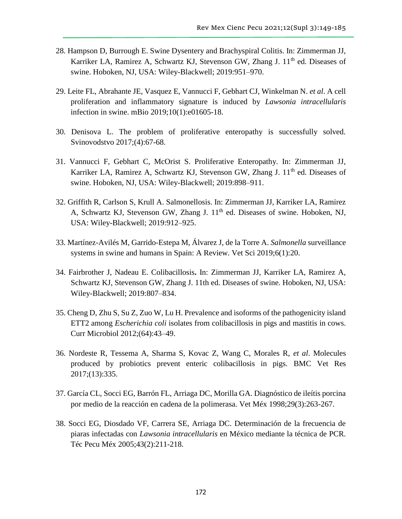- 28. Hampson D, Burrough E. Swine Dysentery and Brachyspiral Colitis. In: Zimmerman JJ, Karriker LA, Ramirez A, Schwartz KJ, Stevenson GW, Zhang J.  $11<sup>th</sup>$  ed. Diseases of swine. Hoboken, NJ, USA: Wiley-Blackwell; 2019:951–970.
- 29. Leite FL, Abrahante JE, Vasquez E, Vannucci F, Gebhart CJ, Winkelman N. *et al*. A cell proliferation and inflammatory signature is induced by *Lawsonia intracellularis* infection in swine. mBio 2019;10(1):e01605-18.
- 30. Denisova L. The problem of proliferative enteropathy is successfully solved. Svinovodstvo 2017;(4):67-68.
- 31. Vannucci F, Gebhart C, McOrist S. Proliferative Enteropathy. In: Zimmerman JJ, Karriker LA, Ramirez A, Schwartz KJ, Stevenson GW, Zhang J. 11<sup>th</sup> ed. Diseases of swine. Hoboken, NJ, USA: Wiley-Blackwell; 2019:898–911.
- 32. Griffith R, Carlson S, Krull A. Salmonellosis. In: Zimmerman JJ, Karriker LA, Ramirez A, Schwartz KJ, Stevenson GW, Zhang J. 11<sup>th</sup> ed. Diseases of swine. Hoboken, NJ, USA: Wiley-Blackwell; 2019:912–925.
- 33. Martínez-Avilés M, Garrido-Estepa M, Álvarez J, de la Torre A. *Salmonella* surveillance systems in swine and humans in Spain: A Review. Vet Sci 2019;6(1):20.
- 34. Fairbrother J, Nadeau E. Colibacillosis**.** In: Zimmerman JJ, Karriker LA, Ramirez A, Schwartz KJ, Stevenson GW, Zhang J. 11th ed. Diseases of swine. Hoboken, NJ, USA: Wiley-Blackwell; 2019:807–834.
- 35. Cheng D, Zhu S, Su Z, Zuo W, Lu H. Prevalence and isoforms of the pathogenicity island ETT2 among *Escherichia coli* isolates from colibacillosis in pigs and mastitis in cows. Curr Microbiol 2012;(64):43–49.
- 36. Nordeste R, Tessema A, Sharma S, Kovac Z, Wang C, Morales R, *et al*. Molecules produced by probiotics prevent enteric colibacillosis in pigs. BMC Vet Res 2017;(13):335.
- 37. García CL, Socci EG, Barrón FL, Arriaga DC, Morilla GA. Diagnóstico de ileítis porcina por medio de la reacción en cadena de la polimerasa. Vet Méx 1998;29(3):263-267.
- 38. Socci EG, Diosdado VF, Carrera SE, Arriaga DC. Determinación de la frecuencia de piaras infectadas con *Lawsonia intracellularis* en México mediante la técnica de PCR. Téc Pecu Méx 2005;43(2):211-218.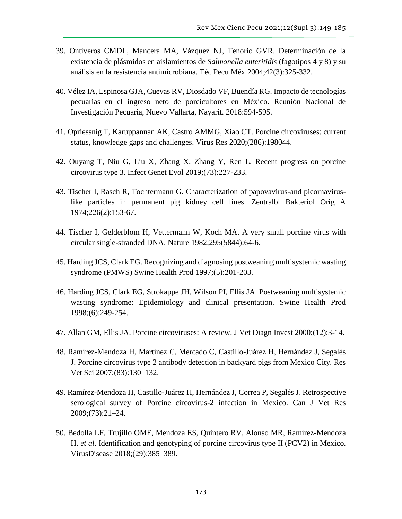- 39. Ontiveros CMDL, Mancera MA, Vázquez NJ, Tenorio GVR. Determinación de la existencia de plásmidos en aislamientos de *Salmonella enteritidis* (fagotipos 4 y 8) y su análisis en la resistencia antimicrobiana. Téc Pecu Méx 2004;42(3):325-332.
- 40. Vélez IA, Espinosa GJA, Cuevas RV, Diosdado VF, Buendía RG. Impacto de tecnologías pecuarias en el ingreso neto de porcicultores en México. Reunión Nacional de Investigación Pecuaria, Nuevo Vallarta, Nayarit. 2018:594-595.
- 41. Opriessnig T, Karuppannan AK, Castro AMMG, Xiao CT. Porcine circoviruses: current status, knowledge gaps and challenges. Virus Res 2020;(286):198044.
- 42. Ouyang T, Niu G, Liu X, Zhang X, Zhang Y, Ren L. Recent progress on porcine circovirus type 3. Infect Genet Evol 2019;(73):227-233.
- 43. Tischer I, Rasch R, Tochtermann G. Characterization of papovavirus-and picornaviruslike particles in permanent pig kidney cell lines. Zentralbl Bakteriol Orig A 1974;226(2):153-67.
- 44. Tischer I, Gelderblom H, Vettermann W, Koch MA. A very small porcine virus with circular single-stranded DNA. Nature 1982;295(5844):64-6.
- 45. Harding JCS, Clark EG. Recognizing and diagnosing postweaning multisystemic wasting syndrome (PMWS) Swine Health Prod 1997;(5):201-203.
- 46. Harding JCS, Clark EG, Strokappe JH, Wilson PI, Ellis JA. Postweaning multisystemic wasting syndrome: Epidemiology and clinical presentation. Swine Health Prod 1998;(6):249-254.
- 47. Allan GM, Ellis JA. Porcine circoviruses: A review. J Vet Diagn Invest 2000;(12):3-14.
- 48. Ramírez-Mendoza H, Martínez C, Mercado C, Castillo-Juárez H, Hernández J, Segalés J. Porcine circovirus type 2 antibody detection in backyard pigs from Mexico City. Res Vet Sci 2007;(83):130–132.
- 49. Ramírez-Mendoza H, Castillo-Juárez H, Hernández J, Correa P, Segalés J. Retrospective serological survey of Porcine circovirus-2 infection in Mexico. Can J Vet Res 2009;(73):21–24.
- 50. Bedolla LF, Trujillo OME, Mendoza ES, Quintero RV, Alonso MR, Ramírez-Mendoza H. *et al*. Identification and genotyping of porcine circovirus type II (PCV2) in Mexico. VirusDisease 2018;(29):385–389.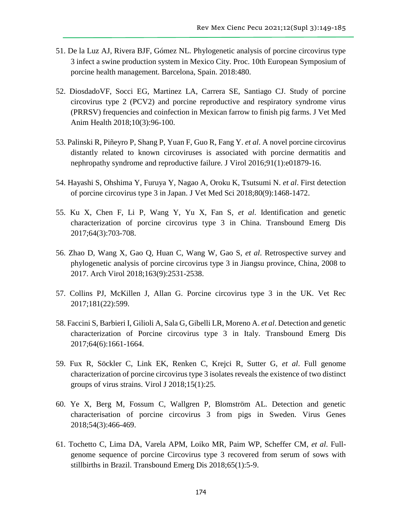- 51. De la Luz AJ, Rivera BJF, Gómez NL. Phylogenetic analysis of porcine circovirus type 3 infect a swine production system in Mexico City. Proc. 10th European Symposium of porcine health management. Barcelona, Spain. 2018:480.
- 52. DiosdadoVF, Socci EG, Martinez LA, Carrera SE, Santiago CJ. Study of porcine circovirus type 2 (PCV2) and porcine reproductive and respiratory syndrome virus (PRRSV) frequencies and coinfection in Mexican farrow to finish pig farms. J Vet Med Anim Health 2018;10(3):96-100.
- 53. Palinski R, Piñeyro P, Shang P, Yuan F, Guo R, Fang Y. *et al*. A novel porcine circovirus distantly related to known circoviruses is associated with porcine dermatitis and nephropathy syndrome and reproductive failure. J Virol 2016;91(1):e01879-16.
- 54. Hayashi S, Ohshima Y, Furuya Y, Nagao A, Oroku K, Tsutsumi N. *et al*. First detection of porcine circovirus type 3 in Japan. J Vet Med Sci 2018;80(9):1468-1472.
- 55. Ku X, Chen F, Li P, Wang Y, Yu X, Fan S, *et al*. Identification and genetic characterization of porcine circovirus type 3 in China. Transbound Emerg Dis 2017;64(3):703-708.
- 56. Zhao D, Wang X, Gao Q, Huan C, Wang W, Gao S, *et al*. Retrospective survey and phylogenetic analysis of porcine circovirus type 3 in Jiangsu province, China, 2008 to 2017. Arch Virol 2018;163(9):2531-2538.
- 57. Collins PJ, McKillen J, Allan G. Porcine circovirus type 3 in the UK. Vet Rec 2017;181(22):599.
- 58. Faccini S, Barbieri I, Gilioli A, Sala G, Gibelli LR, Moreno A. *et al*. Detection and genetic characterization of Porcine circovirus type 3 in Italy. Transbound Emerg Dis 2017;64(6):1661-1664.
- 59. Fux R, Söckler C, Link EK, Renken C, Krejci R, Sutter G, *et al*. Full genome characterization of porcine circovirus type 3 isolates reveals the existence of two distinct groups of virus strains. Virol J 2018;15(1):25.
- 60. Ye X, Berg M, Fossum C, Wallgren P, Blomström AL. Detection and genetic characterisation of porcine circovirus 3 from pigs in Sweden. Virus Genes 2018;54(3):466-469.
- 61. Tochetto C, Lima DA, Varela APM, Loiko MR, Paim WP, Scheffer CM, *et al*. Fullgenome sequence of porcine Circovirus type 3 recovered from serum of sows with stillbirths in Brazil. Transbound Emerg Dis 2018;65(1):5-9.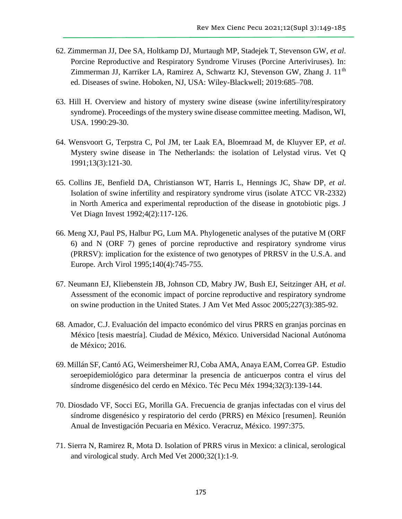- 62. Zimmerman JJ, Dee SA, Holtkamp DJ, Murtaugh MP, Stadejek T, Stevenson GW, *et al*. Porcine Reproductive and Respiratory Syndrome Viruses (Porcine Arteriviruses). In: Zimmerman JJ, Karriker LA, Ramirez A, Schwartz KJ, Stevenson GW, Zhang J. 11<sup>th</sup> ed. Diseases of swine. Hoboken, NJ, USA: Wiley-Blackwell; 2019:685–708.
- 63. Hill H. Overview and history of mystery swine disease (swine infertility/respiratory syndrome). Proceedings of the mystery swine disease committee meeting. Madison, WI, USA. 1990:29-30.
- 64. Wensvoort G, Terpstra C, Pol JM, ter Laak EA, Bloemraad M, de Kluyver EP, *et al*. Mystery swine disease in The Netherlands: the isolation of Lelystad virus. Vet Q 1991;13(3):121-30.
- 65. Collins JE, Benfield DA, Christianson WT, Harris L, Hennings JC, Shaw DP, *et al*. Isolation of swine infertility and respiratory syndrome virus (isolate ATCC VR-2332) in North America and experimental reproduction of the disease in gnotobiotic pigs. J Vet Diagn Invest 1992;4(2):117-126.
- 66. Meng XJ, Paul PS, Halbur PG, Lum MA. Phylogenetic analyses of the putative M (ORF 6) and N (ORF 7) genes of porcine reproductive and respiratory syndrome virus (PRRSV): implication for the existence of two genotypes of PRRSV in the U.S.A. and Europe. Arch Virol 1995;140(4):745-755.
- 67. Neumann EJ, Kliebenstein JB, Johnson CD, Mabry JW, Bush EJ, Seitzinger AH, *et al*. Assessment of the economic impact of porcine reproductive and respiratory syndrome on swine production in the United States. J Am Vet Med Assoc 2005;227(3):385-92.
- 68. Amador, C.J. Evaluación del impacto económico del virus PRRS en granjas porcinas en México [tesis maestría]. Ciudad de México, México. Universidad Nacional Autónoma de México; 2016.
- 69. Millán SF, Cantó AG, Weimersheimer RJ, Coba AMA, Anaya EAM, Correa GP. Estudio seroepidemiológico para determinar la presencia de anticuerpos contra el virus del síndrome disgenésico del cerdo en México. Téc Pecu Méx 1994;32(3):139-144.
- 70. Diosdado VF, Socci EG, Morilla GA. Frecuencia de granjas infectadas con el virus del síndrome disgenésico y respiratorio del cerdo (PRRS) en México [resumen]. Reunión Anual de Investigación Pecuaria en México. Veracruz, México. 1997:375.
- 71. Sierra N, Ramirez R, Mota D. Isolation of PRRS virus in Mexico: a clinical, serological and virological study. Arch Med Vet 2000;32(1):1-9.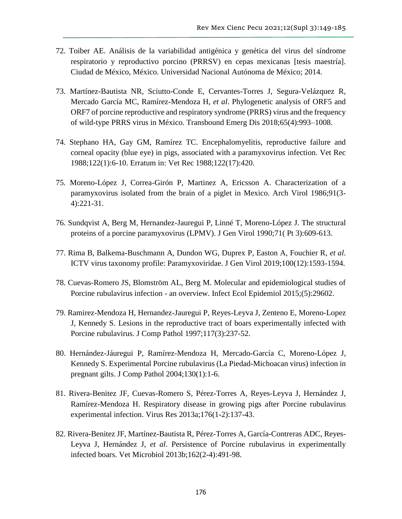- 72. Toiber AE. Análisis de la variabilidad antigénica y genética del virus del síndrome respiratorio y reproductivo porcino (PRRSV) en cepas mexicanas [tesis maestría]. Ciudad de México, México. Universidad Nacional Autónoma de México; 2014.
- 73. Martínez-Bautista NR, Sciutto-Conde E, Cervantes-Torres J, Segura-Velázquez R, Mercado García MC, Ramírez-Mendoza H, *et al*. Phylogenetic analysis of ORF5 and ORF7 of porcine reproductive and respiratory syndrome (PRRS) virus and the frequency of wild-type PRRS virus in México. Transbound Emerg Dis 2018;65(4):993–1008.
- 74. Stephano HA, Gay GM, Ramírez TC. Encephalomyelitis, reproductive failure and corneal opacity (blue eye) in pigs, associated with a paramyxovirus infection. Vet Rec 1988;122(1):6-10. Erratum in: Vet Rec 1988;122(17):420.
- 75. Moreno-López J, Correa-Girón P, Martinez A, Ericsson A. Characterization of a paramyxovirus isolated from the brain of a piglet in Mexico. Arch Virol 1986;91(3- 4):221-31.
- 76. Sundqvist A, Berg M, Hernandez-Jauregui P, Linné T, Moreno-López J. The structural proteins of a porcine paramyxovirus (LPMV). J Gen Virol 1990;71( Pt 3):609-613.
- 77. Rima B, Balkema-Buschmann A, Dundon WG, Duprex P, Easton A, Fouchier R, *et al*. ICTV virus taxonomy profile: Paramyxoviridae. J Gen Virol 2019;100(12):1593-1594.
- 78. Cuevas-Romero JS, Blomström AL, Berg M. Molecular and epidemiological studies of Porcine rubulavirus infection - an overview. Infect Ecol Epidemiol 2015;(5):29602.
- 79. Ramirez-Mendoza H, Hernandez-Jauregui P, Reyes-Leyva J, Zenteno E, Moreno-Lopez J, Kennedy S. Lesions in the reproductive tract of boars experimentally infected with Porcine rubulavirus. J Comp Pathol 1997;117(3):237-52.
- 80. Hernández-Jáuregui P, Ramírez-Mendoza H, Mercado-García C, Moreno-López J, Kennedy S. Experimental Porcine rubulavirus (La Piedad-Michoacan virus) infection in pregnant gilts. J Comp Pathol 2004;130(1):1-6.
- 81. Rivera-Benitez JF, Cuevas-Romero S, Pérez-Torres A, Reyes-Leyva J, Hernández J, Ramírez-Mendoza H. Respiratory disease in growing pigs after Porcine rubulavirus experimental infection. Virus Res 2013a;176(1-2):137-43.
- 82. Rivera-Benitez JF, Martínez-Bautista R, Pérez-Torres A, García-Contreras ADC, Reyes-Leyva J, Hernández J, *et al*. Persistence of Porcine rubulavirus in experimentally infected boars. Vet Microbiol 2013b;162(2-4):491-98.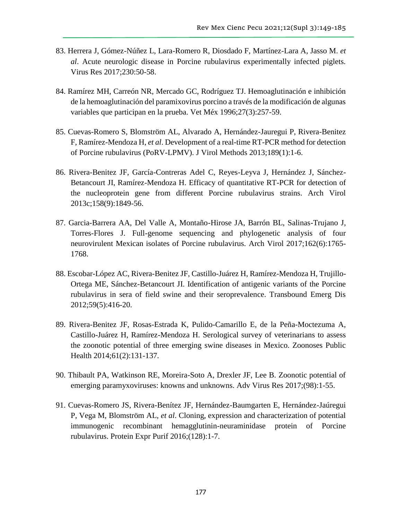- 83. Herrera J, Gómez-Núñez L, Lara-Romero R, Diosdado F, Martínez-Lara A, Jasso M. *et al*. Acute neurologic disease in Porcine rubulavirus experimentally infected piglets. Virus Res 2017;230:50-58.
- 84. Ramírez MH, Carreón NR, Mercado GC, Rodríguez TJ. Hemoaglutinación e inhibición de la hemoaglutinación del paramixovirus porcino a través de la modificación de algunas variables que participan en la prueba. Vet Méx 1996;27(3):257-59.
- 85. Cuevas-Romero S, Blomström AL, Alvarado A, Hernández-Jauregui P, Rivera-Benitez F, Ramírez-Mendoza H, *et al*. Development of a real-time RT-PCR method for detection of Porcine rubulavirus (PoRV-LPMV). J Virol Methods 2013;189(1):1-6.
- 86. Rivera-Benitez JF, García-Contreras Adel C, Reyes-Leyva J, Hernández J, Sánchez-Betancourt JI, Ramírez-Mendoza H. Efficacy of quantitative RT-PCR for detection of the nucleoprotein gene from different Porcine rubulavirus strains. Arch Virol 2013c;158(9):1849-56.
- 87. Garcia-Barrera AA, Del Valle A, Montaño-Hirose JA, Barrón BL, Salinas-Trujano J, Torres-Flores J. Full-genome sequencing and phylogenetic analysis of four neurovirulent Mexican isolates of Porcine rubulavirus. Arch Virol 2017;162(6):1765- 1768.
- 88. Escobar-López AC, Rivera-Benitez JF, Castillo-Juárez H, Ramírez-Mendoza H, Trujillo-Ortega ME, Sánchez-Betancourt JI. Identification of antigenic variants of the Porcine rubulavirus in sera of field swine and their seroprevalence. Transbound Emerg Dis 2012;59(5):416-20.
- 89. Rivera-Benitez JF, Rosas-Estrada K, Pulido-Camarillo E, de la Peña-Moctezuma A, Castillo-Juárez H, Ramírez-Mendoza H. Serological survey of veterinarians to assess the zoonotic potential of three emerging swine diseases in Mexico. Zoonoses Public Health 2014;61(2):131-137.
- 90. Thibault PA, Watkinson RE, Moreira-Soto A, Drexler JF, Lee B. Zoonotic potential of emerging paramyxoviruses: knowns and unknowns. Adv Virus Res 2017;(98):1-55.
- 91. Cuevas-Romero JS, Rivera-Benítez JF, Hernández-Baumgarten E, Hernández-Jaúregui P, Vega M, Blomström AL, *et al*. Cloning, expression and characterization of potential immunogenic recombinant hemagglutinin-neuraminidase protein of Porcine rubulavirus. Protein Expr Purif 2016;(128):1-7.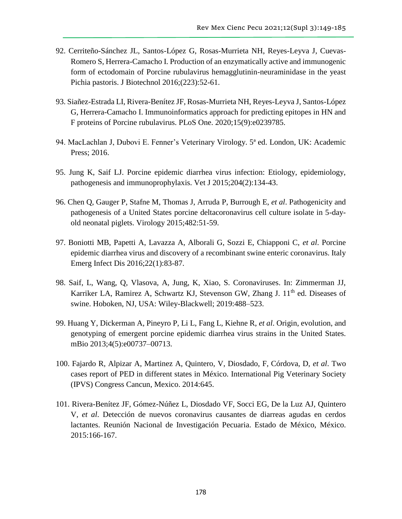- 92. Cerriteño-Sánchez JL, Santos-López G, Rosas-Murrieta NH, Reyes-Leyva J, Cuevas-Romero S, Herrera-Camacho I. Production of an enzymatically active and immunogenic form of ectodomain of Porcine rubulavirus hemagglutinin-neuraminidase in the yeast Pichia pastoris. J Biotechnol 2016;(223):52-61.
- 93. Siañez-Estrada LI, Rivera-Benítez JF, Rosas-Murrieta NH, Reyes-Leyva J, Santos-López G, Herrera-Camacho I. Immunoinformatics approach for predicting epitopes in HN and F proteins of Porcine rubulavirus. PLoS One. 2020;15(9):e0239785.
- 94. MacLachlan J, Dubovi E. Fenner's Veterinary Virology. 5ª ed. London, UK: Academic Press; 2016.
- 95. Jung K, Saif LJ. Porcine epidemic diarrhea virus infection: Etiology, epidemiology, pathogenesis and immunoprophylaxis. Vet J 2015;204(2):134-43.
- 96. Chen Q, Gauger P, Stafne M, Thomas J, Arruda P, Burrough E, *et al*. Pathogenicity and pathogenesis of a United States porcine deltacoronavirus cell culture isolate in 5-dayold neonatal piglets. Virology 2015;482:51-59.
- 97. Boniotti MB, Papetti A, Lavazza A, Alborali G, Sozzi E, Chiapponi C, *et al*. Porcine epidemic diarrhea virus and discovery of a recombinant swine enteric coronavirus. Italy Emerg Infect Dis 2016;22(1):83-87.
- 98. Saif, L, Wang, Q, Vlasova, A, Jung, K, Xiao, S. Coronaviruses. In: Zimmerman JJ, Karriker LA, Ramirez A, Schwartz KJ, Stevenson GW, Zhang J. 11<sup>th</sup> ed. Diseases of swine. Hoboken, NJ, USA: Wiley-Blackwell; 2019:488–523.
- 99. Huang Y, Dickerman A, Pineyro P, Li L, Fang L, Kiehne R, *et al*. Origin, evolution, and genotyping of emergent porcine epidemic diarrhea virus strains in the United States. mBio 2013;4(5):e00737–00713.
- 100. Fajardo R, Alpizar A, Martinez A, Quintero, V, Diosdado, F, Córdova, D, *et al*. Two cases report of PED in different states in México. International Pig Veterinary Society (IPVS) Congress Cancun, Mexico. 2014:645.
- 101. Rivera-Benítez JF, Gómez-Núñez L, Diosdado VF, Socci EG, De la Luz AJ, Quintero V, *et al*. Detección de nuevos coronavirus causantes de diarreas agudas en cerdos lactantes. Reunión Nacional de Investigación Pecuaria. Estado de México, México. 2015:166-167.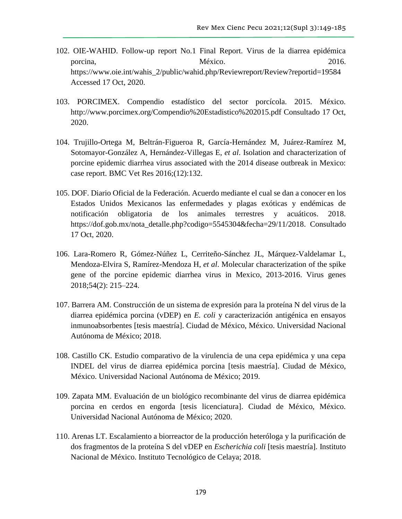- 102. OIE-WAHID. Follow-up report No.1 Final Report. Virus de la diarrea epidémica porcina, México. México. 2016. [https://www.oie.int/wahis\\_2/public/wahid.php/Reviewreport/Review?reportid=19584](https://www.oie.int/wahis_2/public/wahid.php/Reviewreport/Review?reportid=19584) Accessed 17 Oct, 2020.
- 103. PORCIMEX. Compendio estadístico del sector porcícola. 2015. México. <http://www.porcimex.org/Compendio%20Estadistico%202015.pdf> Consultado 17 Oct, 2020.
- 104. Trujillo-Ortega M, Beltrán-Figueroa R, García-Hernández M, Juárez-Ramírez M, Sotomayor-González A, Hernández-Villegas E, *et al*. Isolation and characterization of porcine epidemic diarrhea virus associated with the 2014 disease outbreak in Mexico: case report. BMC Vet Res 2016;(12):132.
- 105. DOF. Diario Oficial de la Federación. Acuerdo mediante el cual se dan a conocer en los Estados Unidos Mexicanos las enfermedades y plagas exóticas y endémicas de notificación obligatoria de los animales terrestres y acuáticos. 2018. [https://dof.gob.mx/nota\\_detalle.php?codigo=5545304&fecha=29/11/2018.](https://dof.gob.mx/nota_detalle.php?codigo=5545304&fecha=29/11/2018) Consultado 17 Oct, 2020.
- 106. Lara-Romero R, Gómez-Núñez L, Cerriteño-Sánchez JL, Márquez-Valdelamar L, Mendoza-Elvira S, Ramírez-Mendoza H, *et al*. Molecular characterization of the spike gene of the porcine epidemic diarrhea virus in Mexico, 2013-2016. Virus genes 2018;54(2): 215–224.
- 107. Barrera AM. Construcción de un sistema de expresión para la proteína N del virus de la diarrea epidémica porcina (vDEP) en *E. coli* y caracterización antigénica en ensayos inmunoabsorbentes [tesis maestría]. Ciudad de México, México. Universidad Nacional Autónoma de México; 2018.
- 108. Castillo CK. Estudio comparativo de la virulencia de una cepa epidémica y una cepa INDEL del virus de diarrea epidémica porcina [tesis maestría]. Ciudad de México, México. Universidad Nacional Autónoma de México; 2019.
- 109. Zapata MM. Evaluación de un biológico recombinante del virus de diarrea epidémica porcina en cerdos en engorda [tesis licenciatura]. Ciudad de México, México. Universidad Nacional Autónoma de México; 2020.
- 110. Arenas LT. Escalamiento a biorreactor de la producción heteróloga y la purificación de dos fragmentos de la proteína S del vDEP en *Escherichia coli* [tesis maestría]*.* Instituto Nacional de México. Instituto Tecnológico de Celaya; 2018.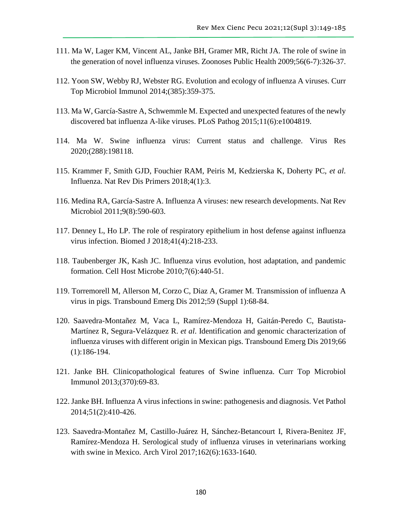- 111. Ma W, Lager KM, Vincent AL, Janke BH, Gramer MR, Richt JA. The role of swine in the generation of novel influenza viruses. Zoonoses Public Health 2009;56(6-7):326-37.
- 112. Yoon SW, Webby RJ, Webster RG. Evolution and ecology of influenza A viruses. Curr Top Microbiol Immunol 2014;(385):359-375.
- 113. Ma W, García-Sastre A, Schwemmle M. Expected and unexpected features of the newly discovered bat influenza A-like viruses. PLoS Pathog 2015;11(6):e1004819.
- 114. Ma W. Swine influenza virus: Current status and challenge. Virus Res 2020;(288):198118.
- 115. Krammer F, Smith GJD, Fouchier RAM, Peiris M, Kedzierska K, Doherty PC, *et al*. Influenza. Nat Rev Dis Primers 2018;4(1):3.
- 116. Medina RA, García-Sastre A. Influenza A viruses: new research developments. Nat Rev Microbiol 2011;9(8):590-603.
- 117. Denney L, Ho LP. The role of respiratory epithelium in host defense against influenza virus infection. Biomed J 2018;41(4):218-233.
- 118. Taubenberger JK, Kash JC. Influenza virus evolution, host adaptation, and pandemic formation. Cell Host Microbe 2010;7(6):440-51.
- 119. Torremorell M, Allerson M, Corzo C, Diaz A, Gramer M. Transmission of influenza A virus in pigs. Transbound Emerg Dis 2012;59 (Suppl 1):68-84.
- 120. Saavedra-Montañez M, Vaca L, Ramírez-Mendoza H, Gaitán-Peredo C, Bautista-Martínez R, Segura-Velázquez R. *et al*. Identification and genomic characterization of influenza viruses with different origin in Mexican pigs. Transbound Emerg Dis 2019;66 (1):186-194.
- 121. Janke BH. Clinicopathological features of Swine influenza. Curr Top Microbiol Immunol 2013;(370):69-83.
- 122. Janke BH. Influenza A virus infections in swine: pathogenesis and diagnosis. Vet Pathol 2014;51(2):410-426.
- 123. Saavedra-Montañez M, Castillo-Juárez H, Sánchez-Betancourt I, Rivera-Benitez JF, Ramírez-Mendoza H. Serological study of influenza viruses in veterinarians working with swine in Mexico. Arch Virol 2017;162(6):1633-1640.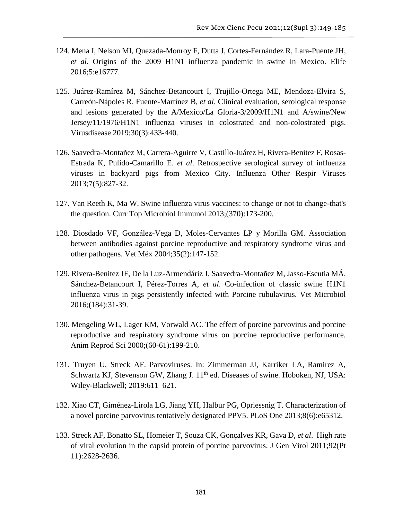- 124. Mena I, Nelson MI, Quezada-Monroy F, Dutta J, Cortes-Fernández R, Lara-Puente JH, *et al*. Origins of the 2009 H1N1 influenza pandemic in swine in Mexico. Elife 2016;5:e16777.
- 125. Juárez-Ramírez M, Sánchez-Betancourt I, Trujillo-Ortega ME, Mendoza-Elvira S, Carreón-Nápoles R, Fuente-Martínez B, *et al*. Clinical evaluation, serological response and lesions generated by the A/Mexico/La Gloria-3/2009/H1N1 and A/swine/New Jersey/11/1976/H1N1 influenza viruses in colostrated and non-colostrated pigs. Virusdisease 2019;30(3):433-440.
- 126. Saavedra-Montañez M, Carrera-Aguirre V, Castillo-Juárez H, Rivera-Benitez F, Rosas-Estrada K, Pulido-Camarillo E. *et al*. Retrospective serological survey of influenza viruses in backyard pigs from Mexico City. Influenza Other Respir Viruses 2013;7(5):827-32.
- 127. Van Reeth K, Ma W. Swine influenza virus vaccines: to change or not to change-that's the question. Curr Top Microbiol Immunol 2013;(370):173-200.
- 128. Diosdado VF, González-Vega D, Moles-Cervantes LP y Morilla GM. Association between antibodies against porcine reproductive and respiratory syndrome virus and other pathogens. Vet Méx 2004;35(2):147-152.
- 129. Rivera-Benitez JF, De la Luz-Armendáriz J, Saavedra-Montañez M, Jasso-Escutia MÁ, Sánchez-Betancourt I, Pérez-Torres A, *et al*. Co-infection of classic swine H1N1 influenza virus in pigs persistently infected with Porcine rubulavirus. Vet Microbiol 2016;(184):31-39.
- 130. Mengeling WL, Lager KM, Vorwald AC. The effect of porcine parvovirus and porcine reproductive and respiratory syndrome virus on porcine reproductive performance. Anim Reprod Sci 2000;(60-61):199-210.
- 131. Truyen U, Streck AF. Parvoviruses. In: Zimmerman JJ, Karriker LA, Ramirez A, Schwartz KJ, Stevenson GW, Zhang J. 11<sup>th</sup> ed. Diseases of swine. Hoboken, NJ, USA: Wiley-Blackwell; 2019:611–621.
- 132. Xiao CT, Giménez-Lirola LG, Jiang YH, Halbur PG, Opriessnig T. Characterization of a novel porcine parvovirus tentatively designated PPV5. PLoS One 2013;8(6):e65312.
- 133. Streck AF, Bonatto SL, Homeier T, Souza CK, Gonçalves KR, Gava D, *et al*. High rate of viral evolution in the capsid protein of porcine parvovirus. J Gen Virol 2011;92(Pt 11):2628-2636.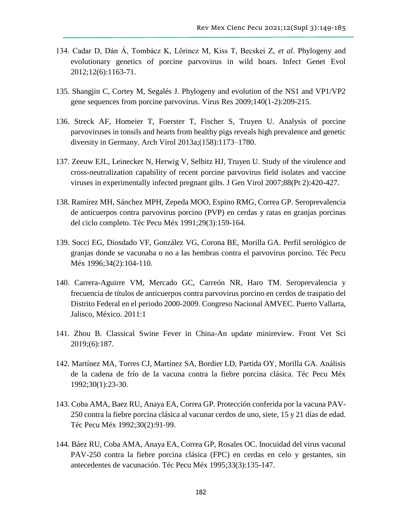- 134. Cadar D, Dán Á, Tombácz K, Lőrincz M, Kiss T, Becskei Z, *et al*. Phylogeny and evolutionary genetics of porcine parvovirus in wild boars. Infect Genet Evol 2012;12(6):1163-71.
- 135. Shangjin C, Cortey M, Segalés J. Phylogeny and evolution of the NS1 and VP1/VP2 gene sequences from porcine parvovirus. Virus Res 2009;140(1-2):209-215.
- 136. Streck AF, Homeier T, Foerster T, Fischer S, Truyen U. Analysis of porcine parvoviruses in tonsils and hearts from healthy pigs reveals high prevalence and genetic diversity in Germany. Arch Virol 2013a;(158):1173–1780.
- 137. Zeeuw EJL, Leinecker N, Herwig V, Selbitz HJ, Truyen U. Study of the virulence and cross-neutralization capability of recent porcine parvovirus field isolates and vaccine viruses in experimentally infected pregnant gilts. J Gen Virol 2007;88(Pt 2):420-427.
- 138. Ramírez MH, Sánchez MPH, Zepeda MOO, Espino RMG, Correa GP. Seroprevalencia de anticuerpos contra parvovirus porcino (PVP) en cerdas y ratas en granjas porcinas del ciclo completo. Téc Pecu Méx 1991;29(3):159-164.
- 139. Socci EG, Diosdado VF, González VG, Corona BE, Morilla GA. Perfil serológico de granjas donde se vacunaba o no a las hembras contra el parvovirus porcino. Téc Pecu Méx 1996;34(2):104-110.
- 140. Carrera-Aguirre VM, Mercado GC, Carreón NR, Haro TM. Seroprevalencia y frecuencia de títulos de anticuerpos contra parvovirus porcino en cerdos de traspatio del Distrito Federal en el periodo 2000-2009. Congreso Nacional AMVEC. Puerto Vallarta, Jalisco, México. 2011:1
- 141. Zhou B. Classical Swine Fever in China-An update minireview. Front Vet Sci 2019;(6):187.
- 142. Martínez MA, Torres CJ, Martínez SA, Bordier LD, Partida OY, Morilla GA. Análisis de la cadena de frío de la vacuna contra la fiebre porcina clásica. Téc Pecu Méx 1992;30(1):23-30.
- 143. Coba AMA, Baez RU, Anaya EA, Correa GP. Protección conferida por la vacuna PAV-250 contra la fiebre porcina clásica al vacunar cerdos de uno, siete, 15 y 21 días de edad. Téc Pecu Méx 1992;30(2):91-99.
- 144. Báez RU, Coba AMA, Anaya EA, Correa GP, Rosales OC. Inocuidad del virus vacunal PAV-250 contra la fiebre porcina clásica (FPC) en cerdas en celo y gestantes, sin antecedentes de vacunación. Téc Pecu Méx 1995;33(3):135-147.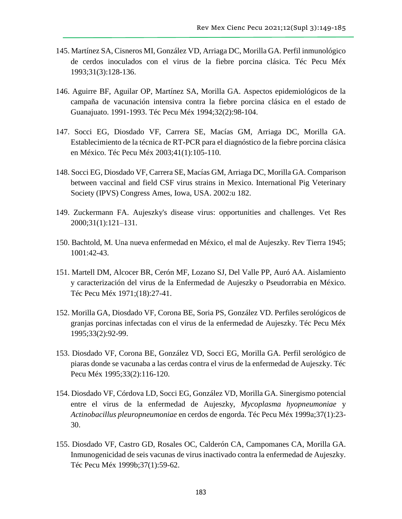- 145. Martínez SA, Cisneros MI, González VD, Arriaga DC, Morilla GA. Perfil inmunológico de cerdos inoculados con el virus de la fiebre porcina clásica. Téc Pecu Méx 1993;31(3):128-136.
- 146. Aguirre BF, Aguilar OP, Martínez SA, Morilla GA. Aspectos epidemiológicos de la campaña de vacunación intensiva contra la fiebre porcina clásica en el estado de Guanajuato. 1991-1993. Téc Pecu Méx 1994;32(2):98-104.
- 147. Socci EG, Diosdado VF, Carrera SE, Macías GM, Arriaga DC, Morilla GA. Establecimiento de la técnica de RT-PCR para el diagnóstico de la fiebre porcina clásica en México. Téc Pecu Méx 2003;41(1):105-110.
- 148. Socci EG, Diosdado VF, Carrera SE, Macías GM, Arriaga DC, Morilla GA. Comparison between vaccinal and field CSF virus strains in Mexico. International Pig Veterinary Society (IPVS) Congress Ames, Iowa, USA. 2002:u 182.
- 149. Zuckermann FA. Aujeszky's disease virus: opportunities and challenges. Vet Res 2000;31(1):121–131.
- 150. Bachtold, M. Una nueva enfermedad en México, el mal de Aujeszky. Rev Tierra 1945; 1001:42-43.
- 151. Martell DM, Alcocer BR, Cerón MF, Lozano SJ, Del Valle PP, Auró AA. Aislamiento y caracterización del virus de la Enfermedad de Aujeszky o Pseudorrabia en México. Téc Pecu Méx 1971;(18):27-41.
- 152. Morilla GA, Diosdado VF, Corona BE, Soria PS, González VD. Perfiles serológicos de granjas porcinas infectadas con el virus de la enfermedad de Aujeszky. Téc Pecu Méx 1995;33(2):92-99.
- 153. Diosdado VF, Corona BE, González VD, Socci EG, Morilla GA. Perfil serológico de piaras donde se vacunaba a las cerdas contra el virus de la enfermedad de Aujeszky. Téc Pecu Méx 1995;33(2):116-120.
- 154. Diosdado VF, Córdova LD, Socci EG, González VD, Morilla GA. Sinergismo potencial entre el virus de la enfermedad de Aujeszky, *Mycoplasma hyopneumoniae* y *Actinobacillus pleuropneumoniae* en cerdos de engorda. Téc Pecu Méx 1999a;37(1):23- 30.
- 155. Diosdado VF, Castro GD, Rosales OC, Calderón CA, Campomanes CA, Morilla GA. Inmunogenicidad de seis vacunas de virus inactivado contra la enfermedad de Aujeszky. Téc Pecu Méx 1999b;37(1):59-62.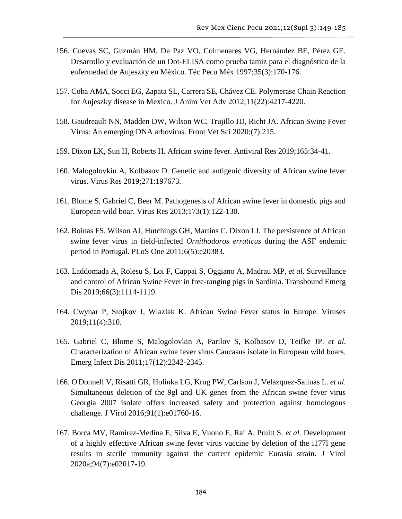- 156. Cuevas SC, Guzmán HM, De Paz VO, Colmenares VG, Hernández BE, Pérez GE. Desarrollo y evaluación de un Dot-ELISA como prueba tamiz para el diagnóstico de la enfermedad de Aujeszky en México. Téc Pecu Méx 1997;35(3):170-176.
- 157. Coba AMA, Socci EG, Zapata SL, Carrera SE, Chávez CE. Polymerase Chain Reaction for Aujeszky disease in Mexico. J Anim Vet Adv 2012;11(22):4217-4220.
- 158. Gaudreault NN, Madden DW, Wilson WC, Trujillo JD, Richt JA. African Swine Fever Virus: An emerging DNA arbovirus. Front Vet Sci 2020;(7):215.
- 159. Dixon LK, Sun H, Roberts H. African swine fever. Antiviral Res 2019;165:34-41.
- 160. Malogolovkin A, Kolbasov D. Genetic and antigenic diversity of African swine fever virus. Virus Res 2019;271:197673.
- 161. Blome S, Gabriel C, Beer M. Pathogenesis of African swine fever in domestic pigs and European wild boar. Virus Res 2013;173(1):122-130.
- 162. Boinas FS, Wilson AJ, Hutchings GH, Martins C, Dixon LJ. The persistence of African swine fever virus in field-infected *Ornithodoros erraticus* during the ASF endemic period in Portugal. PLoS One 2011;6(5):e20383.
- 163. Laddomada A, Rolesu S, Loi F, Cappai S, Oggiano A, Madrau MP, *et al*. Surveillance and control of African Swine Fever in free-ranging pigs in Sardinia. Transbound Emerg Dis 2019;66(3):1114-1119.
- 164. Cwynar P, Stojkov J, Wlazlak K. African Swine Fever status in Europe. Viruses 2019;11(4):310.
- 165. Gabriel C, Blome S, Malogolovkin A, Parilov S, Kolbasov D, Teifke JP. *et al*. Characterization of African swine fever virus Caucasus isolate in European wild boars. Emerg Infect Dis 2011;17(12):2342-2345.
- 166. O'Donnell V, Risatti GR, Holinka LG, Krug PW, Carlson J, Velazquez-Salinas L. *et al*. Simultaneous deletion of the 9gl and UK genes from the African swine fever virus Georgia 2007 isolate offers increased safety and protection against homologous challenge. J Virol 2016;91(1):e01760-16.
- 167. Borca MV, Ramirez-Medina E, Silva E, Vuono E, Rai A, Pruitt S. *et al*. Development of a highly effective African swine fever virus vaccine by deletion of the i177l gene results in sterile immunity against the current epidemic Eurasia strain. J Virol 2020a;94(7):e02017-19.